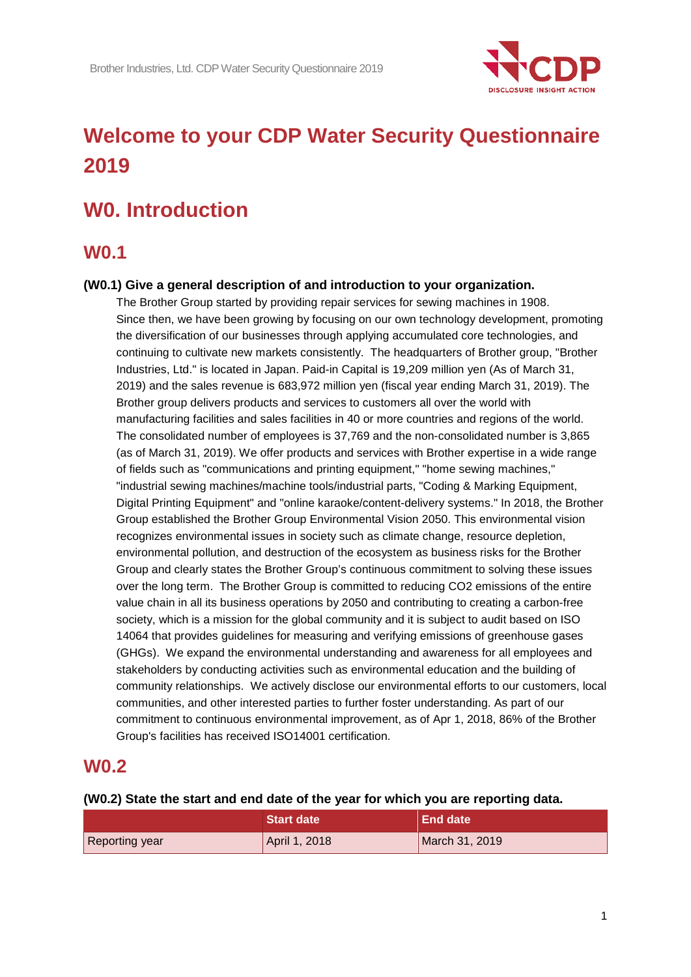

# **Welcome to your CDP Water Security Questionnaire 2019**

# **W0. Introduction**

## **W0.1**

#### **(W0.1) Give a general description of and introduction to your organization.**

The Brother Group started by providing repair services for sewing machines in 1908. Since then, we have been growing by focusing on our own technology development, promoting the diversification of our businesses through applying accumulated core technologies, and continuing to cultivate new markets consistently. The headquarters of Brother group, "Brother Industries, Ltd." is located in Japan. Paid-in Capital is 19,209 million yen (As of March 31, 2019) and the sales revenue is 683,972 million yen (fiscal year ending March 31, 2019). The Brother group delivers products and services to customers all over the world with manufacturing facilities and sales facilities in 40 or more countries and regions of the world. The consolidated number of employees is 37,769 and the non-consolidated number is 3,865 (as of March 31, 2019). We offer products and services with Brother expertise in a wide range of fields such as "communications and printing equipment," "home sewing machines," "industrial sewing machines/machine tools/industrial parts, "Coding & Marking Equipment, Digital Printing Equipment" and "online karaoke/content-delivery systems." In 2018, the Brother Group established the Brother Group Environmental Vision 2050. This environmental vision recognizes environmental issues in society such as climate change, resource depletion, environmental pollution, and destruction of the ecosystem as business risks for the Brother Group and clearly states the Brother Group's continuous commitment to solving these issues over the long term. The Brother Group is committed to reducing CO2 emissions of the entire value chain in all its business operations by 2050 and contributing to creating a carbon-free society, which is a mission for the global community and it is subject to audit based on ISO 14064 that provides guidelines for measuring and verifying emissions of greenhouse gases (GHGs). We expand the environmental understanding and awareness for all employees and stakeholders by conducting activities such as environmental education and the building of community relationships. We actively disclose our environmental efforts to our customers, local communities, and other interested parties to further foster understanding. As part of our commitment to continuous environmental improvement, as of Apr 1, 2018, 86% of the Brother Group's facilities has received ISO14001 certification.

### **W0.2**

#### **(W0.2) State the start and end date of the year for which you are reporting data.**

|                | Start date    | End date       |
|----------------|---------------|----------------|
| Reporting year | April 1, 2018 | March 31, 2019 |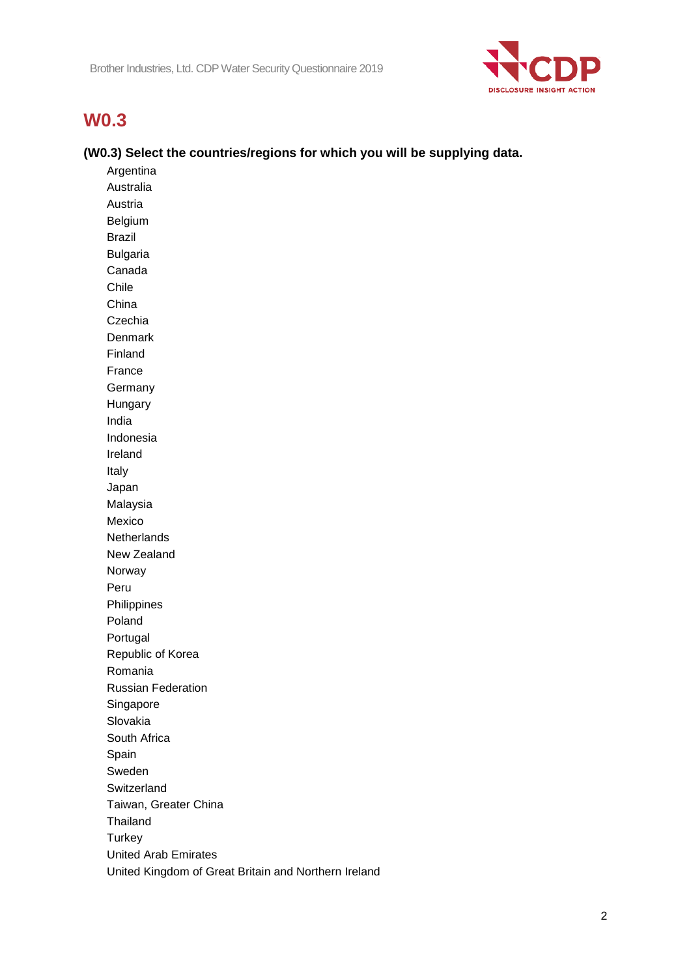

## **W0.3**

#### **(W0.3) Select the countries/regions for which you will be supplying data.**

Argentina Australia Austria Belgium Brazil Bulgaria Canada Chile China Czechia Denmark Finland France Germany Hungary India Indonesia Ireland Italy Japan Malaysia Mexico **Netherlands** New Zealand Norway Peru Philippines Poland Portugal Republic of Korea Romania Russian Federation Singapore Slovakia South Africa Spain Sweden Switzerland Taiwan, Greater China Thailand **Turkey** United Arab Emirates United Kingdom of Great Britain and Northern Ireland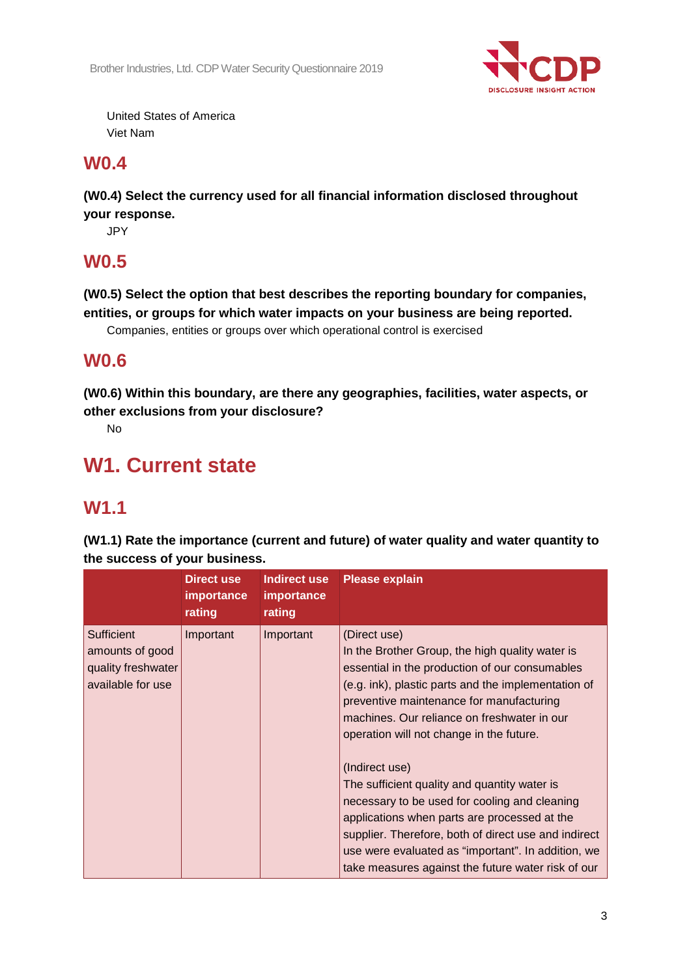

United States of America Viet Nam

## **W0.4**

**(W0.4) Select the currency used for all financial information disclosed throughout your response.**

JPY

## **W0.5**

**(W0.5) Select the option that best describes the reporting boundary for companies, entities, or groups for which water impacts on your business are being reported.**

Companies, entities or groups over which operational control is exercised

## **W0.6**

**(W0.6) Within this boundary, are there any geographies, facilities, water aspects, or other exclusions from your disclosure?**

No

# **W1. Current state**

## **W1.1**

**(W1.1) Rate the importance (current and future) of water quality and water quantity to the success of your business.**

|                                                                          | Direct use<br><b>importance</b><br>rating | Indirect use<br>importance<br>rating | <b>Please explain</b>                                                                                                                                                                                                                                                                                                                                                                                                                                                                                                                                                                                                                                  |
|--------------------------------------------------------------------------|-------------------------------------------|--------------------------------------|--------------------------------------------------------------------------------------------------------------------------------------------------------------------------------------------------------------------------------------------------------------------------------------------------------------------------------------------------------------------------------------------------------------------------------------------------------------------------------------------------------------------------------------------------------------------------------------------------------------------------------------------------------|
| Sufficient<br>amounts of good<br>quality freshwater<br>available for use | Important                                 | Important                            | (Direct use)<br>In the Brother Group, the high quality water is<br>essential in the production of our consumables<br>(e.g. ink), plastic parts and the implementation of<br>preventive maintenance for manufacturing<br>machines. Our reliance on freshwater in our<br>operation will not change in the future.<br>(Indirect use)<br>The sufficient quality and quantity water is<br>necessary to be used for cooling and cleaning<br>applications when parts are processed at the<br>supplier. Therefore, both of direct use and indirect<br>use were evaluated as "important". In addition, we<br>take measures against the future water risk of our |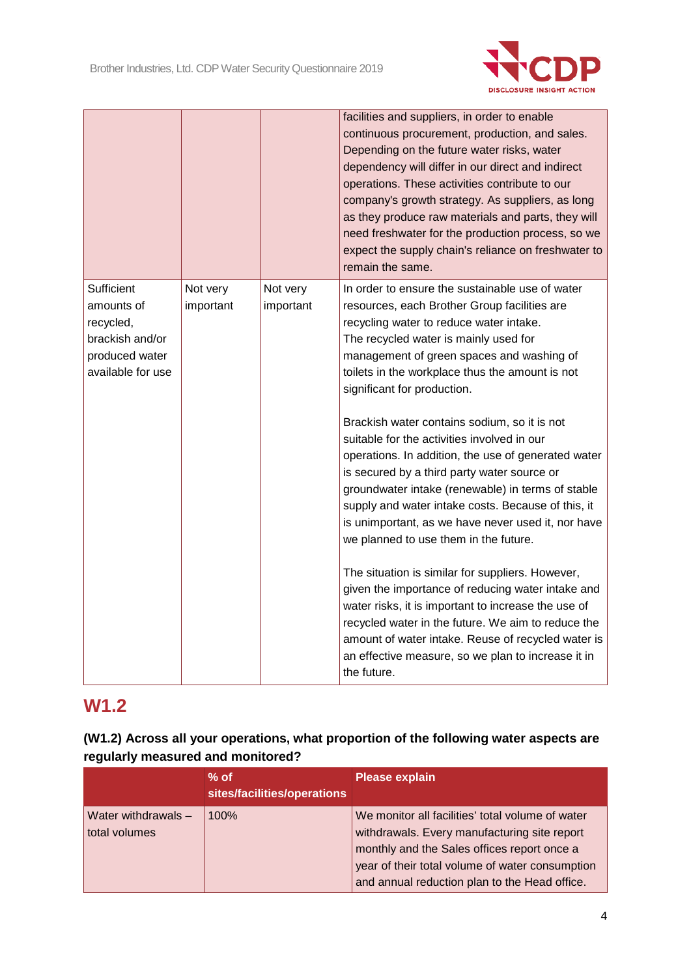

|                                                                                                 |                       |                       | facilities and suppliers, in order to enable<br>continuous procurement, production, and sales.<br>Depending on the future water risks, water<br>dependency will differ in our direct and indirect<br>operations. These activities contribute to our<br>company's growth strategy. As suppliers, as long<br>as they produce raw materials and parts, they will<br>need freshwater for the production process, so we<br>expect the supply chain's reliance on freshwater to<br>remain the same. |
|-------------------------------------------------------------------------------------------------|-----------------------|-----------------------|-----------------------------------------------------------------------------------------------------------------------------------------------------------------------------------------------------------------------------------------------------------------------------------------------------------------------------------------------------------------------------------------------------------------------------------------------------------------------------------------------|
| Sufficient<br>amounts of<br>recycled,<br>brackish and/or<br>produced water<br>available for use | Not very<br>important | Not very<br>important | In order to ensure the sustainable use of water<br>resources, each Brother Group facilities are<br>recycling water to reduce water intake.<br>The recycled water is mainly used for<br>management of green spaces and washing of<br>toilets in the workplace thus the amount is not<br>significant for production.<br>Brackish water contains sodium, so it is not<br>suitable for the activities involved in our                                                                             |
|                                                                                                 |                       |                       | operations. In addition, the use of generated water<br>is secured by a third party water source or<br>groundwater intake (renewable) in terms of stable<br>supply and water intake costs. Because of this, it<br>is unimportant, as we have never used it, nor have<br>we planned to use them in the future.<br>The situation is similar for suppliers. However,<br>given the importance of reducing water intake and                                                                         |
|                                                                                                 |                       |                       | water risks, it is important to increase the use of<br>recycled water in the future. We aim to reduce the<br>amount of water intake. Reuse of recycled water is<br>an effective measure, so we plan to increase it in<br>the future.                                                                                                                                                                                                                                                          |

# **W1.2**

| (W1.2) Across all your operations, what proportion of the following water aspects are |  |
|---------------------------------------------------------------------------------------|--|
| regularly measured and monitored?                                                     |  |

|                                      | $%$ of<br>sites/facilities/operations | <b>Please explain</b>                                                                                                                                                                                                                               |
|--------------------------------------|---------------------------------------|-----------------------------------------------------------------------------------------------------------------------------------------------------------------------------------------------------------------------------------------------------|
| Water withdrawals -<br>total volumes | 100%                                  | We monitor all facilities' total volume of water<br>withdrawals. Every manufacturing site report<br>monthly and the Sales offices report once a<br>year of their total volume of water consumption<br>and annual reduction plan to the Head office. |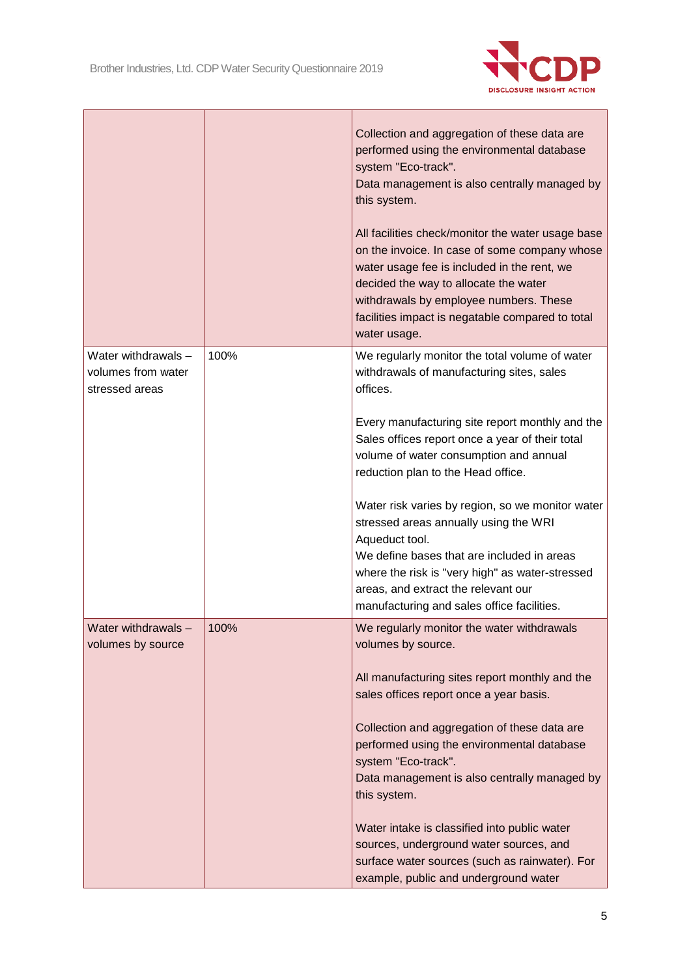

|                                                             |      | Collection and aggregation of these data are<br>performed using the environmental database<br>system "Eco-track".<br>Data management is also centrally managed by<br>this system.<br>All facilities check/monitor the water usage base<br>on the invoice. In case of some company whose<br>water usage fee is included in the rent, we<br>decided the way to allocate the water<br>withdrawals by employee numbers. These<br>facilities impact is negatable compared to total<br>water usage. |
|-------------------------------------------------------------|------|-----------------------------------------------------------------------------------------------------------------------------------------------------------------------------------------------------------------------------------------------------------------------------------------------------------------------------------------------------------------------------------------------------------------------------------------------------------------------------------------------|
| Water withdrawals -<br>volumes from water<br>stressed areas | 100% | We regularly monitor the total volume of water<br>withdrawals of manufacturing sites, sales<br>offices.                                                                                                                                                                                                                                                                                                                                                                                       |
|                                                             |      | Every manufacturing site report monthly and the<br>Sales offices report once a year of their total<br>volume of water consumption and annual<br>reduction plan to the Head office.                                                                                                                                                                                                                                                                                                            |
|                                                             |      | Water risk varies by region, so we monitor water<br>stressed areas annually using the WRI<br>Aqueduct tool.<br>We define bases that are included in areas<br>where the risk is "very high" as water-stressed<br>areas, and extract the relevant our<br>manufacturing and sales office facilities.                                                                                                                                                                                             |
| Water withdrawals -<br>volumes by source                    | 100% | We regularly monitor the water withdrawals<br>volumes by source.                                                                                                                                                                                                                                                                                                                                                                                                                              |
|                                                             |      | All manufacturing sites report monthly and the<br>sales offices report once a year basis.                                                                                                                                                                                                                                                                                                                                                                                                     |
|                                                             |      | Collection and aggregation of these data are<br>performed using the environmental database<br>system "Eco-track".                                                                                                                                                                                                                                                                                                                                                                             |
|                                                             |      | Data management is also centrally managed by<br>this system.                                                                                                                                                                                                                                                                                                                                                                                                                                  |
|                                                             |      | Water intake is classified into public water<br>sources, underground water sources, and<br>surface water sources (such as rainwater). For<br>example, public and underground water                                                                                                                                                                                                                                                                                                            |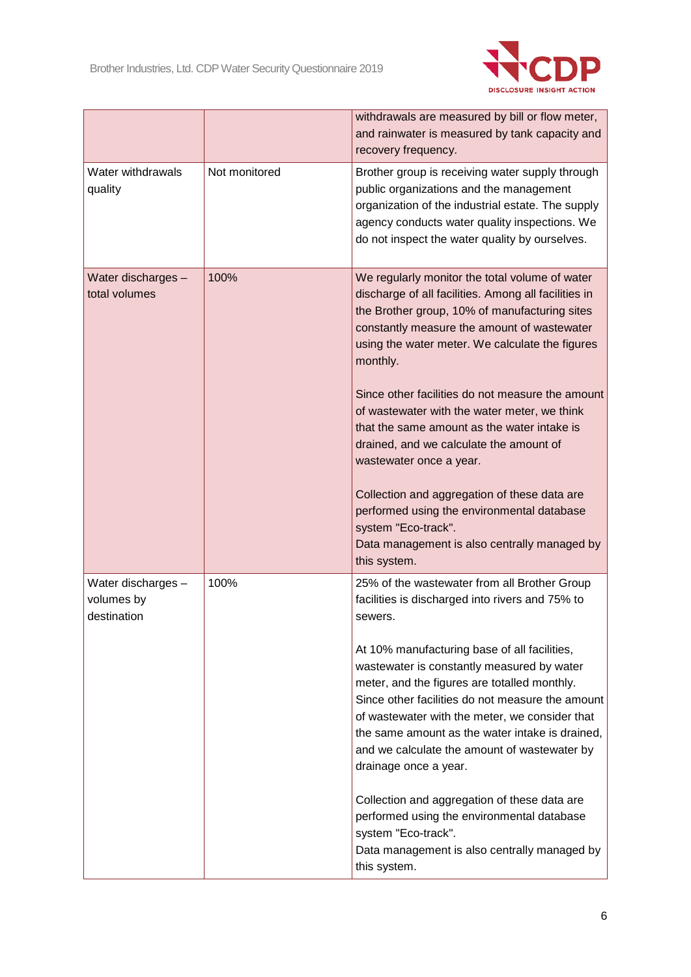

|                                                 |               | withdrawals are measured by bill or flow meter,<br>and rainwater is measured by tank capacity and<br>recovery frequency.                                                                                                                                                                                                                                                     |
|-------------------------------------------------|---------------|------------------------------------------------------------------------------------------------------------------------------------------------------------------------------------------------------------------------------------------------------------------------------------------------------------------------------------------------------------------------------|
| Water withdrawals<br>quality                    | Not monitored | Brother group is receiving water supply through<br>public organizations and the management<br>organization of the industrial estate. The supply<br>agency conducts water quality inspections. We<br>do not inspect the water quality by ourselves.                                                                                                                           |
| Water discharges -<br>total volumes             | 100%          | We regularly monitor the total volume of water<br>discharge of all facilities. Among all facilities in<br>the Brother group, 10% of manufacturing sites<br>constantly measure the amount of wastewater<br>using the water meter. We calculate the figures<br>monthly.<br>Since other facilities do not measure the amount                                                    |
|                                                 |               | of wastewater with the water meter, we think<br>that the same amount as the water intake is<br>drained, and we calculate the amount of<br>wastewater once a year.                                                                                                                                                                                                            |
|                                                 |               | Collection and aggregation of these data are<br>performed using the environmental database<br>system "Eco-track".<br>Data management is also centrally managed by<br>this system.                                                                                                                                                                                            |
| Water discharges -<br>volumes by<br>destination | 100%          | 25% of the wastewater from all Brother Group<br>facilities is discharged into rivers and 75% to<br>sewers.                                                                                                                                                                                                                                                                   |
|                                                 |               | At 10% manufacturing base of all facilities,<br>wastewater is constantly measured by water<br>meter, and the figures are totalled monthly.<br>Since other facilities do not measure the amount<br>of wastewater with the meter, we consider that<br>the same amount as the water intake is drained,<br>and we calculate the amount of wastewater by<br>drainage once a year. |
|                                                 |               | Collection and aggregation of these data are<br>performed using the environmental database<br>system "Eco-track".<br>Data management is also centrally managed by<br>this system.                                                                                                                                                                                            |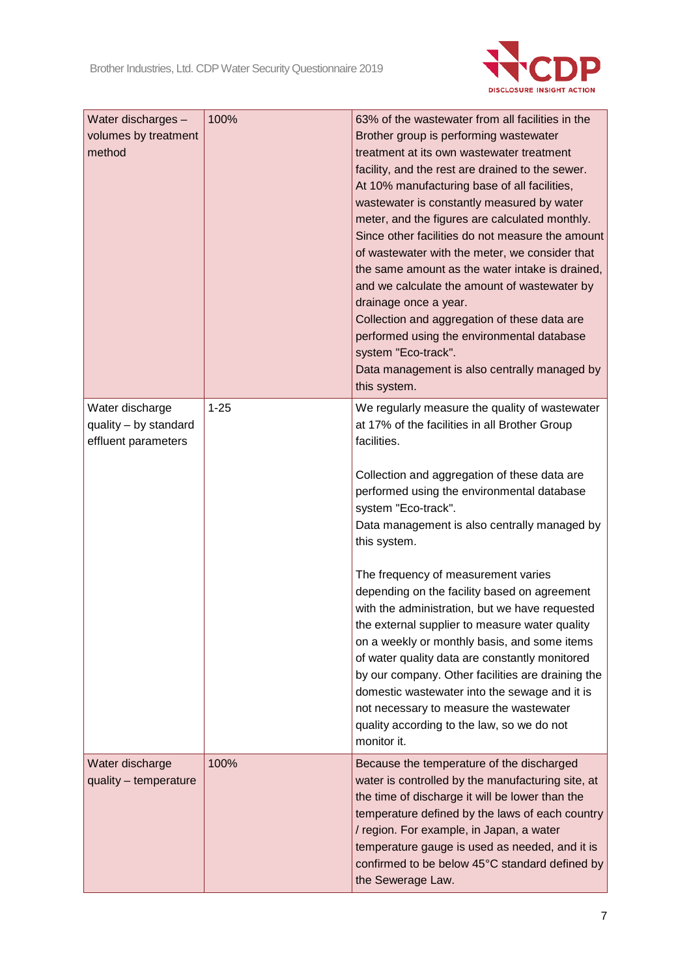

| Water discharges -<br>volumes by treatment<br>method            | 100%     | 63% of the wastewater from all facilities in the<br>Brother group is performing wastewater<br>treatment at its own wastewater treatment<br>facility, and the rest are drained to the sewer.<br>At 10% manufacturing base of all facilities,<br>wastewater is constantly measured by water<br>meter, and the figures are calculated monthly.<br>Since other facilities do not measure the amount<br>of wastewater with the meter, we consider that<br>the same amount as the water intake is drained,<br>and we calculate the amount of wastewater by<br>drainage once a year.<br>Collection and aggregation of these data are<br>performed using the environmental database<br>system "Eco-track".<br>Data management is also centrally managed by<br>this system.                                             |
|-----------------------------------------------------------------|----------|----------------------------------------------------------------------------------------------------------------------------------------------------------------------------------------------------------------------------------------------------------------------------------------------------------------------------------------------------------------------------------------------------------------------------------------------------------------------------------------------------------------------------------------------------------------------------------------------------------------------------------------------------------------------------------------------------------------------------------------------------------------------------------------------------------------|
| Water discharge<br>quality - by standard<br>effluent parameters | $1 - 25$ | We regularly measure the quality of wastewater<br>at 17% of the facilities in all Brother Group<br>facilities.<br>Collection and aggregation of these data are<br>performed using the environmental database<br>system "Eco-track".<br>Data management is also centrally managed by<br>this system.<br>The frequency of measurement varies<br>depending on the facility based on agreement<br>with the administration, but we have requested<br>the external supplier to measure water quality<br>on a weekly or monthly basis, and some items<br>of water quality data are constantly monitored<br>by our company. Other facilities are draining the<br>domestic wastewater into the sewage and it is<br>not necessary to measure the wastewater<br>quality according to the law, so we do not<br>monitor it. |
| Water discharge<br>quality - temperature                        | 100%     | Because the temperature of the discharged<br>water is controlled by the manufacturing site, at<br>the time of discharge it will be lower than the<br>temperature defined by the laws of each country<br>/ region. For example, in Japan, a water<br>temperature gauge is used as needed, and it is<br>confirmed to be below 45°C standard defined by<br>the Sewerage Law.                                                                                                                                                                                                                                                                                                                                                                                                                                      |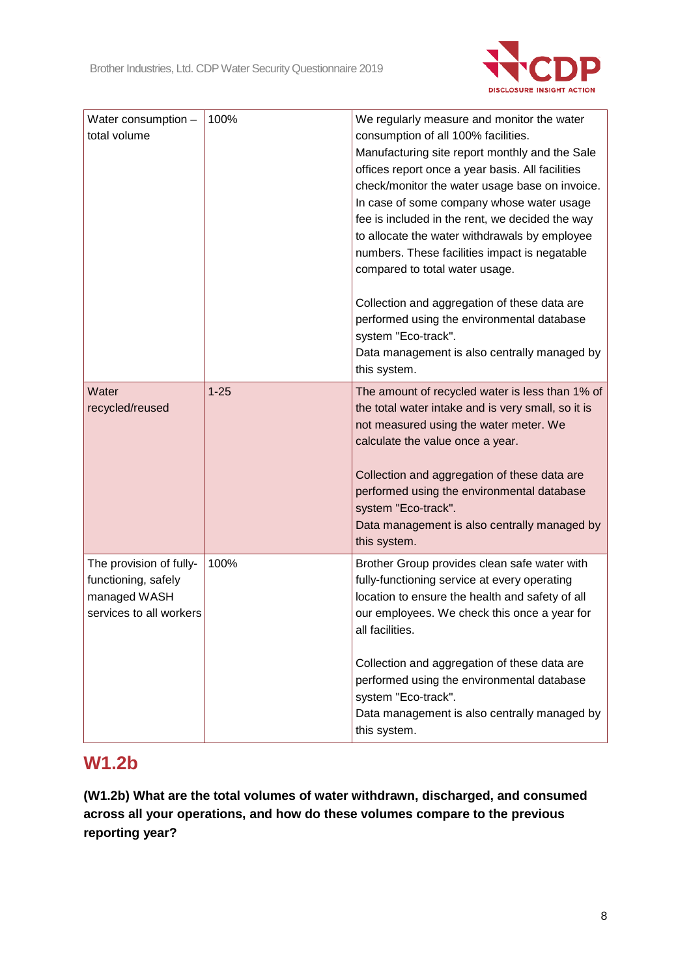

| Water consumption -<br>total volume                                                       | 100%     | We regularly measure and monitor the water<br>consumption of all 100% facilities.<br>Manufacturing site report monthly and the Sale<br>offices report once a year basis. All facilities<br>check/monitor the water usage base on invoice.<br>In case of some company whose water usage<br>fee is included in the rent, we decided the way<br>to allocate the water withdrawals by employee<br>numbers. These facilities impact is negatable<br>compared to total water usage. |
|-------------------------------------------------------------------------------------------|----------|-------------------------------------------------------------------------------------------------------------------------------------------------------------------------------------------------------------------------------------------------------------------------------------------------------------------------------------------------------------------------------------------------------------------------------------------------------------------------------|
|                                                                                           |          | Collection and aggregation of these data are<br>performed using the environmental database<br>system "Eco-track".<br>Data management is also centrally managed by<br>this system.                                                                                                                                                                                                                                                                                             |
| Water<br>recycled/reused                                                                  | $1 - 25$ | The amount of recycled water is less than 1% of<br>the total water intake and is very small, so it is<br>not measured using the water meter. We<br>calculate the value once a year.<br>Collection and aggregation of these data are<br>performed using the environmental database<br>system "Eco-track".<br>Data management is also centrally managed by<br>this system.                                                                                                      |
| The provision of fully-<br>functioning, safely<br>managed WASH<br>services to all workers | 100%     | Brother Group provides clean safe water with<br>fully-functioning service at every operating<br>location to ensure the health and safety of all<br>our employees. We check this once a year for<br>all facilities.<br>Collection and aggregation of these data are<br>performed using the environmental database<br>system "Eco-track".<br>Data management is also centrally managed by<br>this system.                                                                       |

## **W1.2b**

**(W1.2b) What are the total volumes of water withdrawn, discharged, and consumed across all your operations, and how do these volumes compare to the previous reporting year?**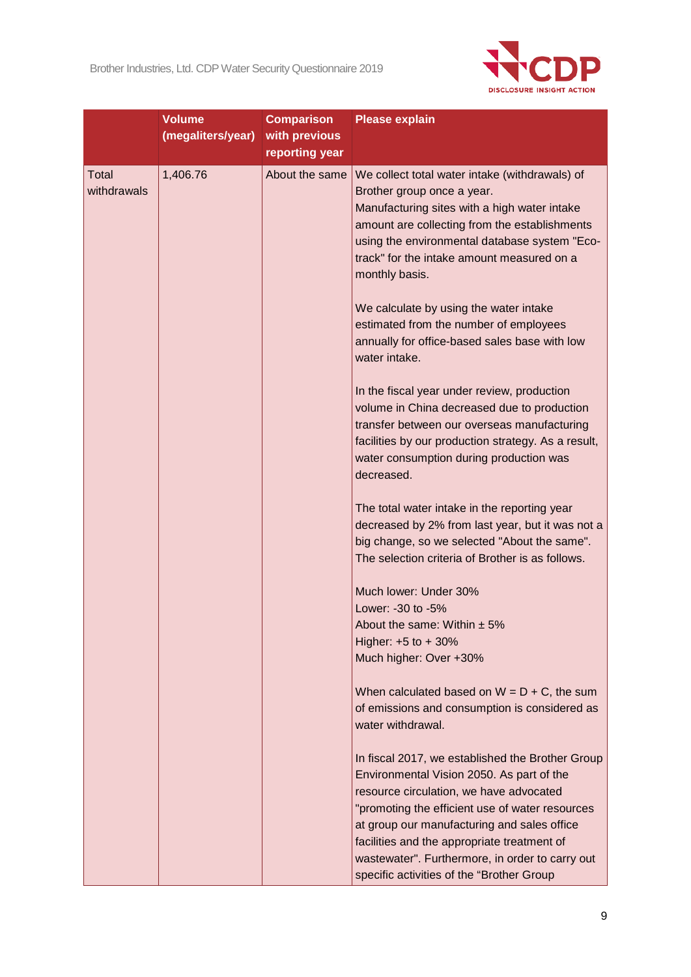

|                             | <b>Volume</b><br>(megaliters/year) | <b>Comparison</b><br>with previous<br>reporting year | <b>Please explain</b>                                                                                                                                                                                                                                                                                                                                                                     |
|-----------------------------|------------------------------------|------------------------------------------------------|-------------------------------------------------------------------------------------------------------------------------------------------------------------------------------------------------------------------------------------------------------------------------------------------------------------------------------------------------------------------------------------------|
| <b>Total</b><br>withdrawals | 1,406.76                           | About the same                                       | We collect total water intake (withdrawals) of<br>Brother group once a year.<br>Manufacturing sites with a high water intake<br>amount are collecting from the establishments<br>using the environmental database system "Eco-<br>track" for the intake amount measured on a<br>monthly basis.                                                                                            |
|                             |                                    |                                                      | We calculate by using the water intake<br>estimated from the number of employees<br>annually for office-based sales base with low<br>water intake.                                                                                                                                                                                                                                        |
|                             |                                    |                                                      | In the fiscal year under review, production<br>volume in China decreased due to production<br>transfer between our overseas manufacturing<br>facilities by our production strategy. As a result,<br>water consumption during production was<br>decreased.                                                                                                                                 |
|                             |                                    |                                                      | The total water intake in the reporting year<br>decreased by 2% from last year, but it was not a<br>big change, so we selected "About the same".<br>The selection criteria of Brother is as follows.                                                                                                                                                                                      |
|                             |                                    |                                                      | Much lower: Under 30%<br>Lower: -30 to -5%                                                                                                                                                                                                                                                                                                                                                |
|                             |                                    |                                                      | About the same: Within $\pm$ 5%<br>Higher: $+5$ to $+30%$<br>Much higher: Over +30%                                                                                                                                                                                                                                                                                                       |
|                             |                                    |                                                      | When calculated based on $W = D + C$ , the sum<br>of emissions and consumption is considered as<br>water withdrawal.                                                                                                                                                                                                                                                                      |
|                             |                                    |                                                      | In fiscal 2017, we established the Brother Group<br>Environmental Vision 2050. As part of the<br>resource circulation, we have advocated<br>"promoting the efficient use of water resources<br>at group our manufacturing and sales office<br>facilities and the appropriate treatment of<br>wastewater". Furthermore, in order to carry out<br>specific activities of the "Brother Group |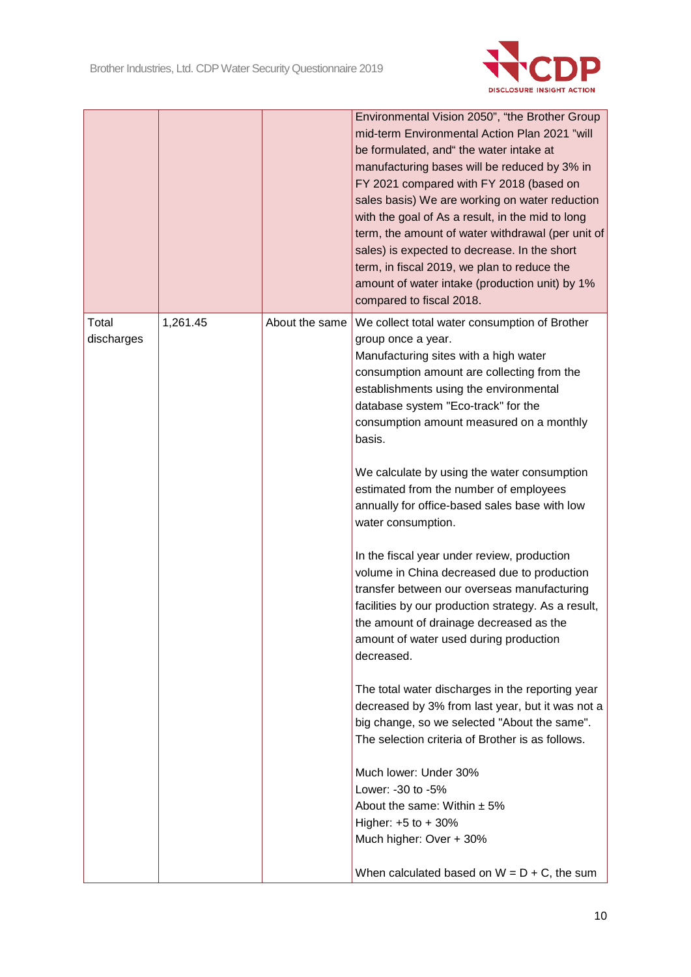

|                | sales basis) We are working on water reduction<br>with the goal of As a result, in the mid to long<br>term, the amount of water withdrawal (per unit of<br>sales) is expected to decrease. In the short<br>term, in fiscal 2019, we plan to reduce the<br>amount of water intake (production unit) by 1%<br>compared to fiscal 2018.                                                             |
|----------------|--------------------------------------------------------------------------------------------------------------------------------------------------------------------------------------------------------------------------------------------------------------------------------------------------------------------------------------------------------------------------------------------------|
| About the same | We collect total water consumption of Brother<br>group once a year.<br>Manufacturing sites with a high water<br>consumption amount are collecting from the<br>establishments using the environmental<br>database system "Eco-track" for the<br>consumption amount measured on a monthly<br>basis.<br>We calculate by using the water consumption<br>estimated from the number of employees       |
|                | annually for office-based sales base with low<br>water consumption.<br>In the fiscal year under review, production<br>volume in China decreased due to production<br>transfer between our overseas manufacturing<br>facilities by our production strategy. As a result,<br>the amount of drainage decreased as the<br>amount of water used during production<br>decreased.                       |
|                | The total water discharges in the reporting year<br>decreased by 3% from last year, but it was not a<br>big change, so we selected "About the same".<br>The selection criteria of Brother is as follows.<br>Much lower: Under 30%<br>Lower: -30 to -5%<br>About the same: Within $\pm$ 5%<br>Higher: $+5$ to $+30%$<br>Much higher: Over + 30%<br>When calculated based on $W = D + C$ , the sum |
|                |                                                                                                                                                                                                                                                                                                                                                                                                  |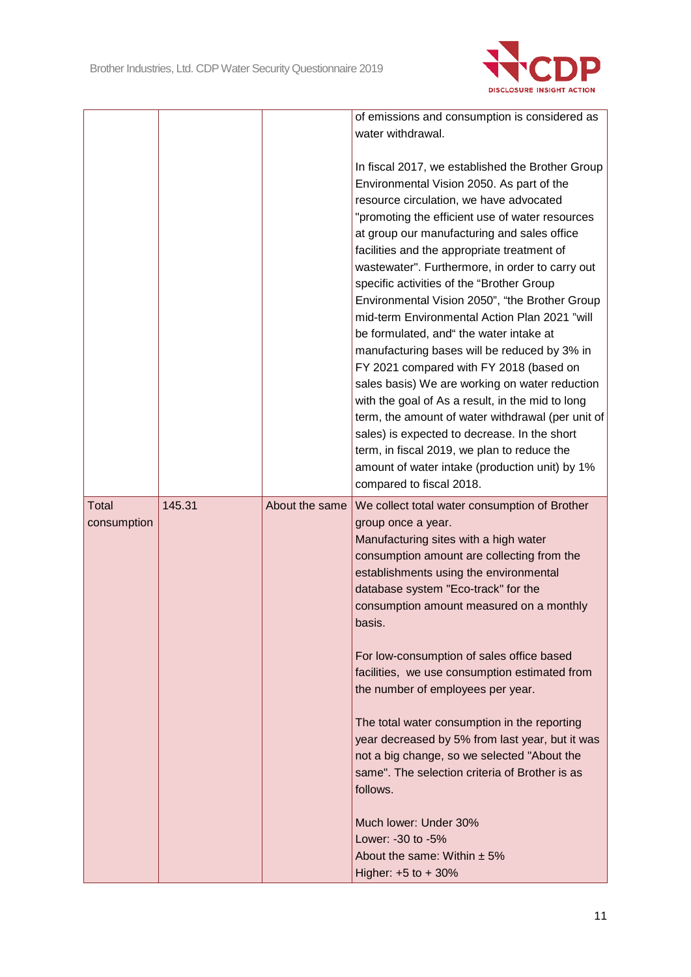

|                      |        |                | of emissions and consumption is considered as<br>water withdrawal.                                                                                                                                                                                                                                                                                                                                                                                                                                                                                                                                                                                                                                                                                                                                                                                                                                                                                                         |
|----------------------|--------|----------------|----------------------------------------------------------------------------------------------------------------------------------------------------------------------------------------------------------------------------------------------------------------------------------------------------------------------------------------------------------------------------------------------------------------------------------------------------------------------------------------------------------------------------------------------------------------------------------------------------------------------------------------------------------------------------------------------------------------------------------------------------------------------------------------------------------------------------------------------------------------------------------------------------------------------------------------------------------------------------|
|                      |        |                | In fiscal 2017, we established the Brother Group<br>Environmental Vision 2050. As part of the<br>resource circulation, we have advocated<br>"promoting the efficient use of water resources<br>at group our manufacturing and sales office<br>facilities and the appropriate treatment of<br>wastewater". Furthermore, in order to carry out<br>specific activities of the "Brother Group<br>Environmental Vision 2050", "the Brother Group<br>mid-term Environmental Action Plan 2021 "will<br>be formulated, and" the water intake at<br>manufacturing bases will be reduced by 3% in<br>FY 2021 compared with FY 2018 (based on<br>sales basis) We are working on water reduction<br>with the goal of As a result, in the mid to long<br>term, the amount of water withdrawal (per unit of<br>sales) is expected to decrease. In the short<br>term, in fiscal 2019, we plan to reduce the<br>amount of water intake (production unit) by 1%<br>compared to fiscal 2018. |
| Total<br>consumption | 145.31 | About the same | We collect total water consumption of Brother<br>group once a year.<br>Manufacturing sites with a high water<br>consumption amount are collecting from the<br>establishments using the environmental<br>database system "Eco-track" for the<br>consumption amount measured on a monthly<br>basis.<br>For low-consumption of sales office based<br>facilities, we use consumption estimated from<br>the number of employees per year.<br>The total water consumption in the reporting<br>year decreased by 5% from last year, but it was<br>not a big change, so we selected "About the<br>same". The selection criteria of Brother is as<br>follows.<br>Much lower: Under 30%<br>Lower: -30 to -5%<br>About the same: Within $\pm$ 5%<br>Higher: $+5$ to $+30%$                                                                                                                                                                                                            |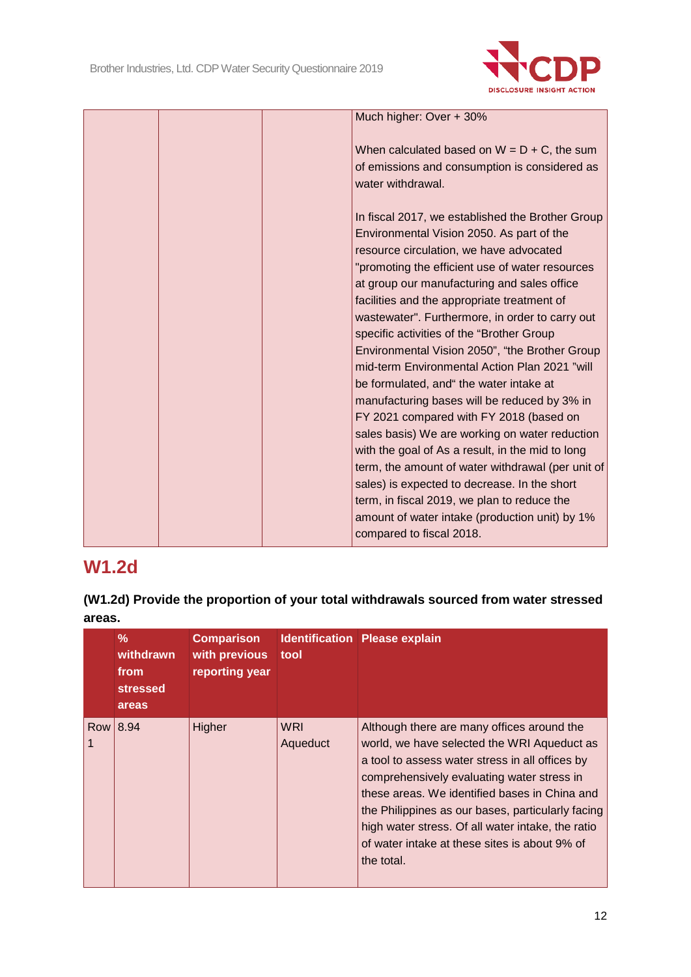

| Much higher: Over + 30%                           |
|---------------------------------------------------|
|                                                   |
| When calculated based on $W = D + C$ , the sum    |
| of emissions and consumption is considered as     |
| water withdrawal.                                 |
|                                                   |
| In fiscal 2017, we established the Brother Group  |
| Environmental Vision 2050. As part of the         |
|                                                   |
| resource circulation, we have advocated           |
| "promoting the efficient use of water resources   |
| at group our manufacturing and sales office       |
| facilities and the appropriate treatment of       |
| wastewater". Furthermore, in order to carry out   |
| specific activities of the "Brother Group         |
| Environmental Vision 2050", "the Brother Group    |
| mid-term Environmental Action Plan 2021 "will     |
| be formulated, and" the water intake at           |
| manufacturing bases will be reduced by 3% in      |
| FY 2021 compared with FY 2018 (based on           |
| sales basis) We are working on water reduction    |
| with the goal of As a result, in the mid to long  |
| term, the amount of water withdrawal (per unit of |
| sales) is expected to decrease. In the short      |
| term, in fiscal 2019, we plan to reduce the       |
| amount of water intake (production unit) by 1%    |
| compared to fiscal 2018.                          |
|                                                   |

## **W1.2d**

**(W1.2d) Provide the proportion of your total withdrawals sourced from water stressed areas.**

| %<br>withdrawn<br>from<br><b>stressed</b><br>areas | <b>Comparison</b><br>with previous<br>reporting year | tool            | <b>Identification Please explain</b>                                                                                                                                                                                                                                                                                                                                                                                 |
|----------------------------------------------------|------------------------------------------------------|-----------------|----------------------------------------------------------------------------------------------------------------------------------------------------------------------------------------------------------------------------------------------------------------------------------------------------------------------------------------------------------------------------------------------------------------------|
| Row 8.94                                           | Higher                                               | WRI<br>Aqueduct | Although there are many offices around the<br>world, we have selected the WRI Aqueduct as<br>a tool to assess water stress in all offices by<br>comprehensively evaluating water stress in<br>these areas. We identified bases in China and<br>the Philippines as our bases, particularly facing<br>high water stress. Of all water intake, the ratio<br>of water intake at these sites is about 9% of<br>the total. |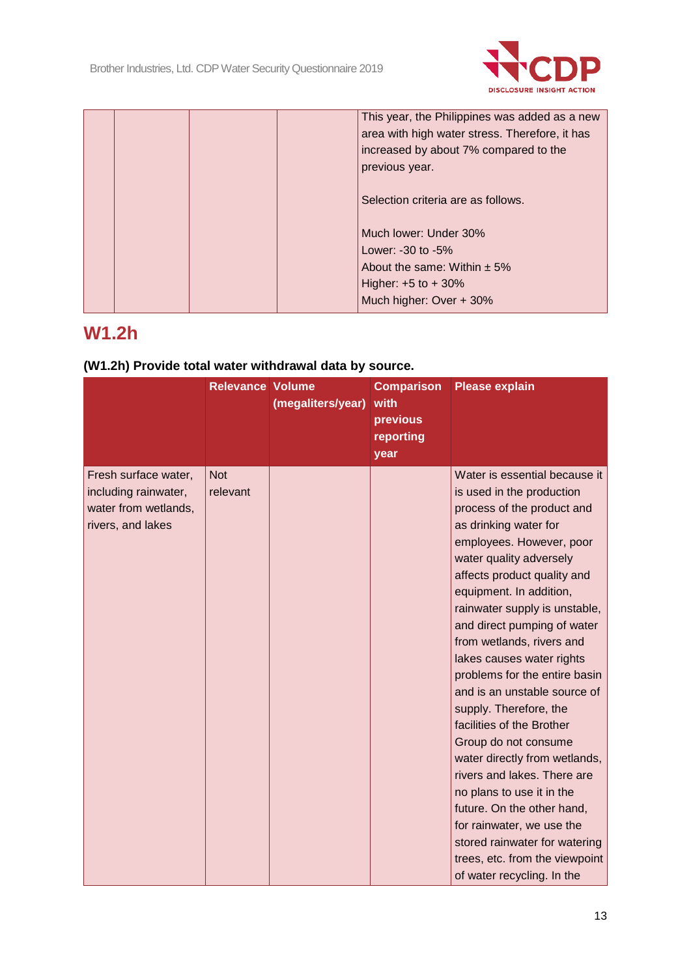

|  | This year, the Philippines was added as a new  |
|--|------------------------------------------------|
|  | area with high water stress. Therefore, it has |
|  | increased by about 7% compared to the          |
|  | previous year.                                 |
|  |                                                |
|  | Selection criteria are as follows.             |
|  |                                                |
|  | Much lower: Under 30%                          |
|  | Lower: $-30$ to $-5\%$                         |
|  | About the same: Within $\pm$ 5%                |
|  | Higher: $+5$ to $+30%$                         |
|  | Much higher: Over + 30%                        |

## **W1.2h**

## **(W1.2h) Provide total water withdrawal data by source.**

|                                                                                           | <b>Relevance Volume</b> | (megaliters/year) | <b>Comparison</b><br>with<br>previous<br>reporting<br>year | <b>Please explain</b>                                                                                                                                                                                                                                                                                                                                                                                                                                                                                                                                                                                                                                                                                                                                                 |
|-------------------------------------------------------------------------------------------|-------------------------|-------------------|------------------------------------------------------------|-----------------------------------------------------------------------------------------------------------------------------------------------------------------------------------------------------------------------------------------------------------------------------------------------------------------------------------------------------------------------------------------------------------------------------------------------------------------------------------------------------------------------------------------------------------------------------------------------------------------------------------------------------------------------------------------------------------------------------------------------------------------------|
| Fresh surface water,<br>including rainwater,<br>water from wetlands,<br>rivers, and lakes | <b>Not</b><br>relevant  |                   |                                                            | Water is essential because it<br>is used in the production<br>process of the product and<br>as drinking water for<br>employees. However, poor<br>water quality adversely<br>affects product quality and<br>equipment. In addition,<br>rainwater supply is unstable,<br>and direct pumping of water<br>from wetlands, rivers and<br>lakes causes water rights<br>problems for the entire basin<br>and is an unstable source of<br>supply. Therefore, the<br>facilities of the Brother<br>Group do not consume<br>water directly from wetlands,<br>rivers and lakes. There are<br>no plans to use it in the<br>future. On the other hand,<br>for rainwater, we use the<br>stored rainwater for watering<br>trees, etc. from the viewpoint<br>of water recycling. In the |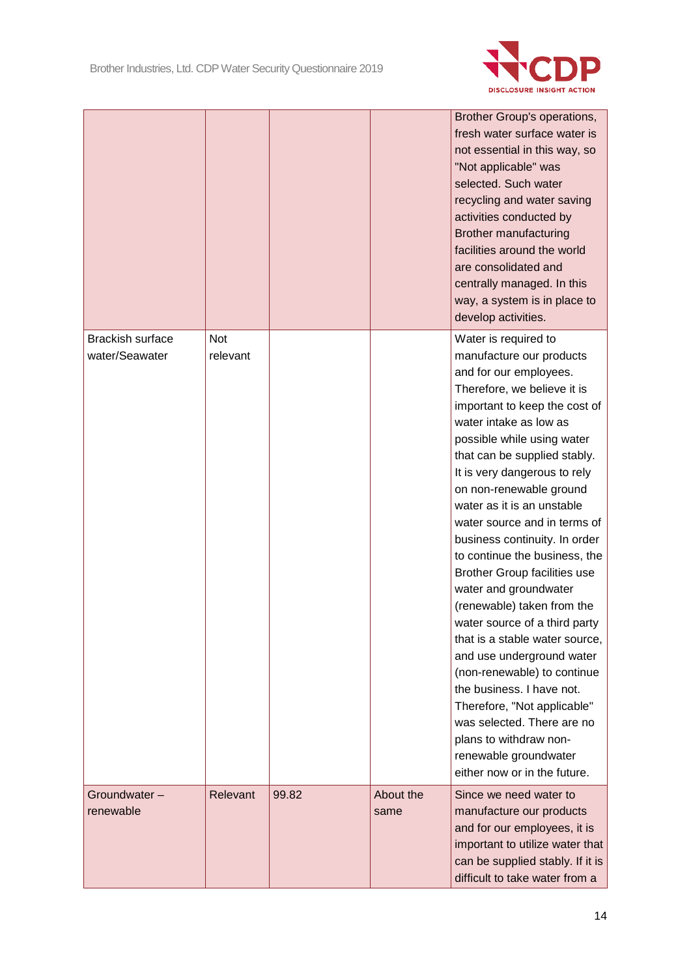

|                                           |                        |       |                   | Brother Group's operations,<br>fresh water surface water is<br>not essential in this way, so<br>"Not applicable" was<br>selected. Such water<br>recycling and water saving<br>activities conducted by<br><b>Brother manufacturing</b><br>facilities around the world<br>are consolidated and<br>centrally managed. In this<br>way, a system is in place to<br>develop activities.                                                                                                                                                                                                                                                                                                                                                                                                                                                |
|-------------------------------------------|------------------------|-------|-------------------|----------------------------------------------------------------------------------------------------------------------------------------------------------------------------------------------------------------------------------------------------------------------------------------------------------------------------------------------------------------------------------------------------------------------------------------------------------------------------------------------------------------------------------------------------------------------------------------------------------------------------------------------------------------------------------------------------------------------------------------------------------------------------------------------------------------------------------|
| <b>Brackish surface</b><br>water/Seawater | <b>Not</b><br>relevant |       |                   | Water is required to<br>manufacture our products<br>and for our employees.<br>Therefore, we believe it is<br>important to keep the cost of<br>water intake as low as<br>possible while using water<br>that can be supplied stably.<br>It is very dangerous to rely<br>on non-renewable ground<br>water as it is an unstable<br>water source and in terms of<br>business continuity. In order<br>to continue the business, the<br>Brother Group facilities use<br>water and groundwater<br>(renewable) taken from the<br>water source of a third party<br>that is a stable water source,<br>and use underground water<br>(non-renewable) to continue<br>the business. I have not.<br>Therefore, "Not applicable"<br>was selected. There are no<br>plans to withdraw non-<br>renewable groundwater<br>either now or in the future. |
| Groundwater-<br>renewable                 | Relevant               | 99.82 | About the<br>same | Since we need water to<br>manufacture our products<br>and for our employees, it is<br>important to utilize water that<br>can be supplied stably. If it is<br>difficult to take water from a                                                                                                                                                                                                                                                                                                                                                                                                                                                                                                                                                                                                                                      |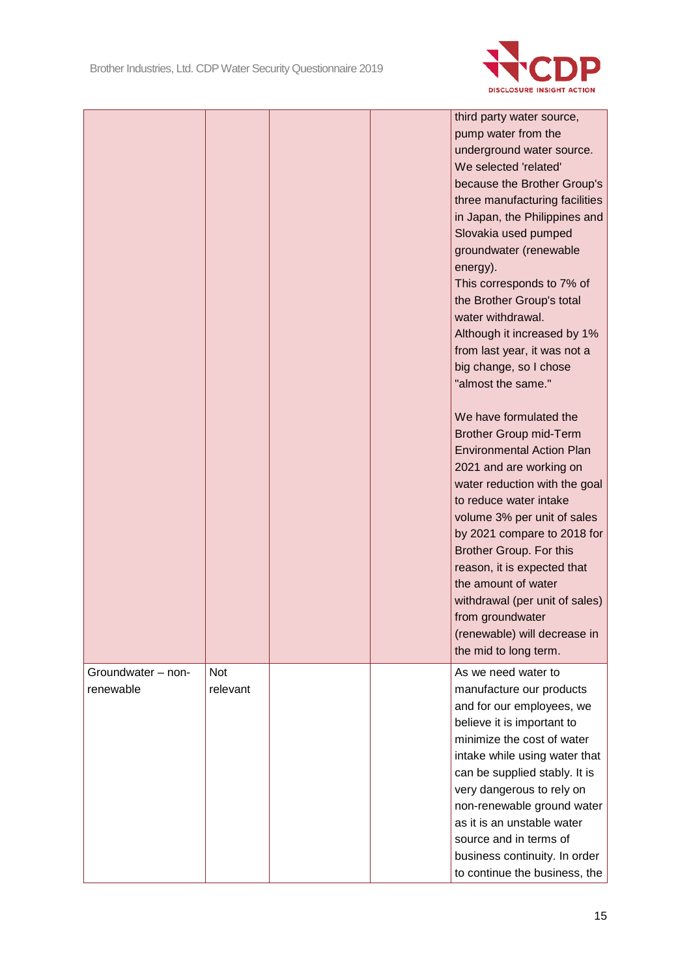

|                                 |                        |  | third party water source,<br>pump water from the<br>underground water source.<br>We selected 'related'<br>because the Brother Group's<br>three manufacturing facilities<br>in Japan, the Philippines and<br>Slovakia used pumped<br>groundwater (renewable<br>energy).<br>This corresponds to 7% of                                                                                                                   |
|---------------------------------|------------------------|--|-----------------------------------------------------------------------------------------------------------------------------------------------------------------------------------------------------------------------------------------------------------------------------------------------------------------------------------------------------------------------------------------------------------------------|
|                                 |                        |  | the Brother Group's total<br>water withdrawal.<br>Although it increased by 1%<br>from last year, it was not a<br>big change, so I chose<br>"almost the same."<br>We have formulated the                                                                                                                                                                                                                               |
|                                 |                        |  | <b>Brother Group mid-Term</b><br><b>Environmental Action Plan</b><br>2021 and are working on<br>water reduction with the goal<br>to reduce water intake<br>volume 3% per unit of sales<br>by 2021 compare to 2018 for<br>Brother Group. For this<br>reason, it is expected that<br>the amount of water<br>withdrawal (per unit of sales)<br>from groundwater<br>(renewable) will decrease in<br>the mid to long term. |
| Groundwater - non-<br>renewable | <b>Not</b><br>relevant |  | As we need water to<br>manufacture our products<br>and for our employees, we<br>believe it is important to<br>minimize the cost of water<br>intake while using water that<br>can be supplied stably. It is<br>very dangerous to rely on<br>non-renewable ground water<br>as it is an unstable water<br>source and in terms of<br>business continuity. In order<br>to continue the business, the                       |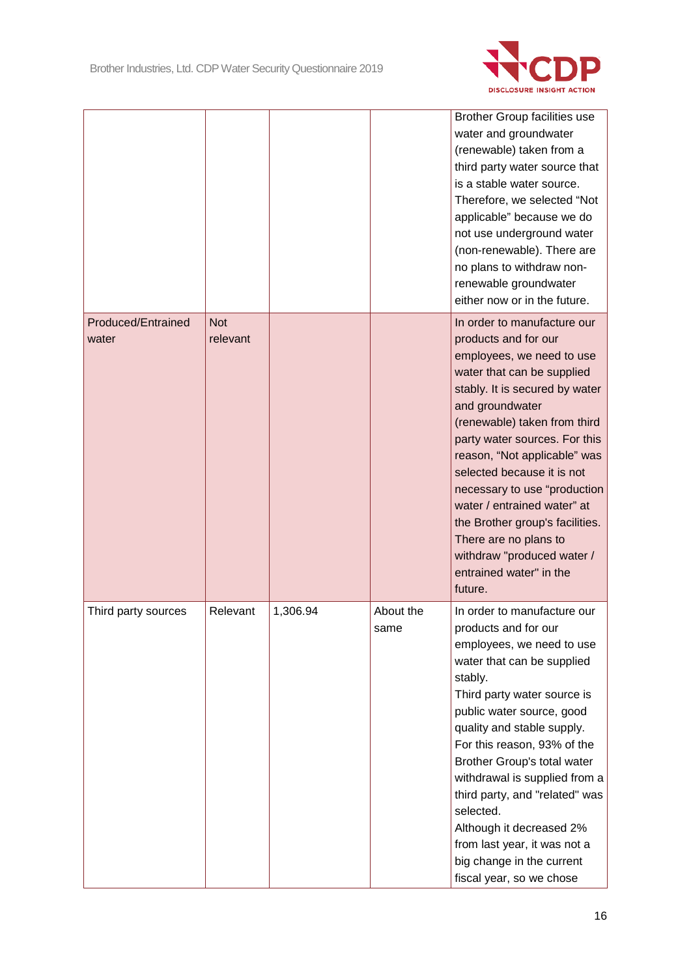

|                             |                        |          |                   | <b>Brother Group facilities use</b><br>water and groundwater<br>(renewable) taken from a<br>third party water source that<br>is a stable water source.<br>Therefore, we selected "Not<br>applicable" because we do<br>not use underground water<br>(non-renewable). There are<br>no plans to withdraw non-<br>renewable groundwater<br>either now or in the future.                                                                                                                               |
|-----------------------------|------------------------|----------|-------------------|---------------------------------------------------------------------------------------------------------------------------------------------------------------------------------------------------------------------------------------------------------------------------------------------------------------------------------------------------------------------------------------------------------------------------------------------------------------------------------------------------|
| Produced/Entrained<br>water | <b>Not</b><br>relevant |          |                   | In order to manufacture our<br>products and for our<br>employees, we need to use<br>water that can be supplied<br>stably. It is secured by water<br>and groundwater<br>(renewable) taken from third<br>party water sources. For this<br>reason, "Not applicable" was<br>selected because it is not<br>necessary to use "production<br>water / entrained water" at<br>the Brother group's facilities.<br>There are no plans to<br>withdraw "produced water /<br>entrained water" in the<br>future. |
| Third party sources         | Relevant               | 1,306.94 | About the<br>same | In order to manufacture our<br>products and for our<br>employees, we need to use<br>water that can be supplied<br>stably.<br>Third party water source is<br>public water source, good<br>quality and stable supply.<br>For this reason, 93% of the<br>Brother Group's total water<br>withdrawal is supplied from a<br>third party, and "related" was<br>selected.<br>Although it decreased 2%<br>from last year, it was not a<br>big change in the current<br>fiscal year, so we chose            |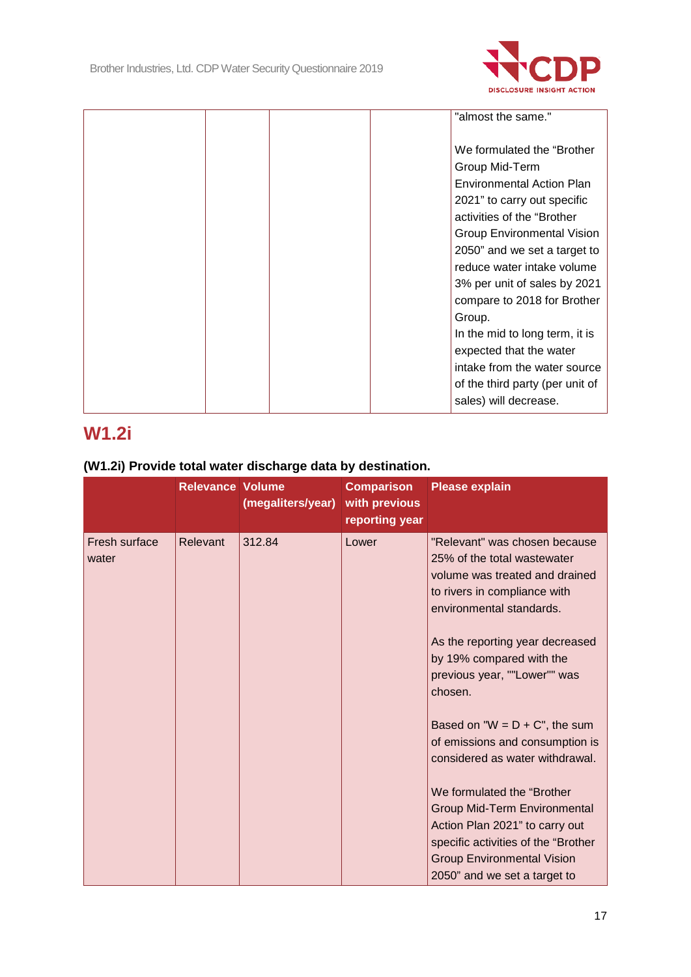

|  |  | "almost the same."                |
|--|--|-----------------------------------|
|  |  |                                   |
|  |  |                                   |
|  |  | We formulated the "Brother"       |
|  |  | Group Mid-Term                    |
|  |  | <b>Environmental Action Plan</b>  |
|  |  | 2021" to carry out specific       |
|  |  | activities of the "Brother"       |
|  |  | <b>Group Environmental Vision</b> |
|  |  | 2050" and we set a target to      |
|  |  | reduce water intake volume        |
|  |  | 3% per unit of sales by 2021      |
|  |  | compare to 2018 for Brother       |
|  |  | Group.                            |
|  |  | In the mid to long term, it is    |
|  |  | expected that the water           |
|  |  | intake from the water source      |
|  |  | of the third party (per unit of   |
|  |  | sales) will decrease.             |
|  |  |                                   |

# **W1.2i**

### **(W1.2i) Provide total water discharge data by destination.**

|                        | <b>Relevance Volume</b> | (megaliters/year) | <b>Comparison</b><br>with previous<br>reporting year | <b>Please explain</b>                                                                                                                                                                                                                                                                                                       |
|------------------------|-------------------------|-------------------|------------------------------------------------------|-----------------------------------------------------------------------------------------------------------------------------------------------------------------------------------------------------------------------------------------------------------------------------------------------------------------------------|
| Fresh surface<br>water | Relevant                | 312.84            | Lower                                                | "Relevant" was chosen because<br>25% of the total wastewater<br>volume was treated and drained<br>to rivers in compliance with<br>environmental standards.<br>As the reporting year decreased<br>by 19% compared with the<br>previous year, ""Lower"" was<br>chosen.                                                        |
|                        |                         |                   |                                                      | Based on " $W = D + C$ ", the sum<br>of emissions and consumption is<br>considered as water withdrawal.<br>We formulated the "Brother"<br><b>Group Mid-Term Environmental</b><br>Action Plan 2021" to carry out<br>specific activities of the "Brother<br><b>Group Environmental Vision</b><br>2050" and we set a target to |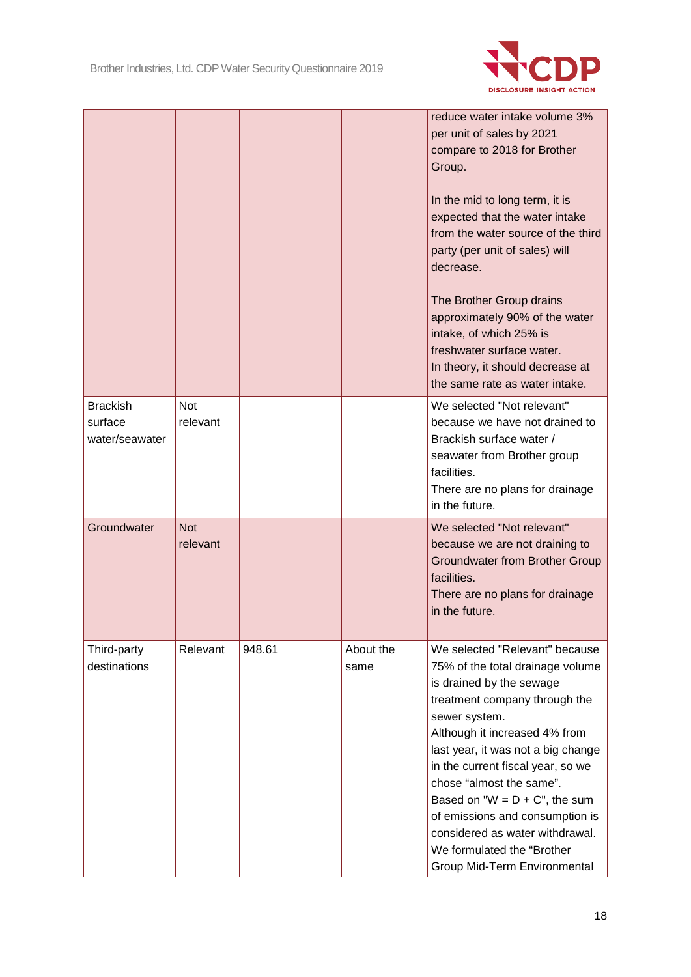

|                                              |                        |        |                   | reduce water intake volume 3%<br>per unit of sales by 2021<br>compare to 2018 for Brother<br>Group.<br>In the mid to long term, it is<br>expected that the water intake<br>from the water source of the third<br>party (per unit of sales) will<br>decrease.<br>The Brother Group drains<br>approximately 90% of the water<br>intake, of which 25% is<br>freshwater surface water.<br>In theory, it should decrease at<br>the same rate as water intake.          |
|----------------------------------------------|------------------------|--------|-------------------|-------------------------------------------------------------------------------------------------------------------------------------------------------------------------------------------------------------------------------------------------------------------------------------------------------------------------------------------------------------------------------------------------------------------------------------------------------------------|
| <b>Brackish</b><br>surface<br>water/seawater | <b>Not</b><br>relevant |        |                   | We selected "Not relevant"<br>because we have not drained to<br>Brackish surface water /<br>seawater from Brother group<br>facilities.<br>There are no plans for drainage<br>in the future.                                                                                                                                                                                                                                                                       |
| Groundwater                                  | <b>Not</b><br>relevant |        |                   | We selected "Not relevant"<br>because we are not draining to<br><b>Groundwater from Brother Group</b><br>facilities.<br>There are no plans for drainage<br>in the future.                                                                                                                                                                                                                                                                                         |
| Third-party<br>destinations                  | Relevant               | 948.61 | About the<br>same | We selected "Relevant" because<br>75% of the total drainage volume<br>is drained by the sewage<br>treatment company through the<br>sewer system.<br>Although it increased 4% from<br>last year, it was not a big change<br>in the current fiscal year, so we<br>chose "almost the same".<br>Based on " $W = D + C$ ", the sum<br>of emissions and consumption is<br>considered as water withdrawal.<br>We formulated the "Brother<br>Group Mid-Term Environmental |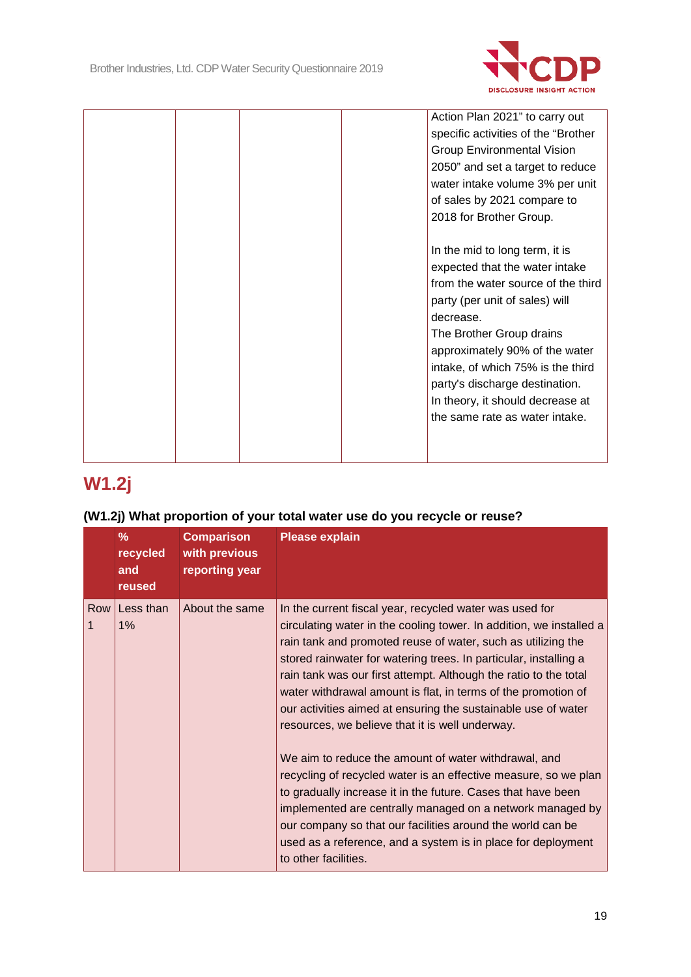

|  |  | Action Plan 2021" to carry out<br>specific activities of the "Brother<br><b>Group Environmental Vision</b><br>2050" and set a target to reduce<br>water intake volume 3% per unit<br>of sales by 2021 compare to<br>2018 for Brother Group.                                                                                                                      |
|--|--|------------------------------------------------------------------------------------------------------------------------------------------------------------------------------------------------------------------------------------------------------------------------------------------------------------------------------------------------------------------|
|  |  | In the mid to long term, it is<br>expected that the water intake<br>from the water source of the third<br>party (per unit of sales) will<br>decrease.<br>The Brother Group drains<br>approximately 90% of the water<br>intake, of which 75% is the third<br>party's discharge destination.<br>In theory, it should decrease at<br>the same rate as water intake. |

# **W1.2j**

### **(W1.2j) What proportion of your total water use do you recycle or reuse?**

|          | $\%$<br>recycled<br>and<br>reused | <b>Comparison</b><br>with previous<br>reporting year | <b>Please explain</b>                                                                                                                                                                                                                                                                                                                                                                                                                                                                                                                                                                                                                                                                                                                                                                                                                                                                                                                     |
|----------|-----------------------------------|------------------------------------------------------|-------------------------------------------------------------------------------------------------------------------------------------------------------------------------------------------------------------------------------------------------------------------------------------------------------------------------------------------------------------------------------------------------------------------------------------------------------------------------------------------------------------------------------------------------------------------------------------------------------------------------------------------------------------------------------------------------------------------------------------------------------------------------------------------------------------------------------------------------------------------------------------------------------------------------------------------|
| Row<br>1 | Less than<br>1%                   | About the same                                       | In the current fiscal year, recycled water was used for<br>circulating water in the cooling tower. In addition, we installed a<br>rain tank and promoted reuse of water, such as utilizing the<br>stored rainwater for watering trees. In particular, installing a<br>rain tank was our first attempt. Although the ratio to the total<br>water withdrawal amount is flat, in terms of the promotion of<br>our activities aimed at ensuring the sustainable use of water<br>resources, we believe that it is well underway.<br>We aim to reduce the amount of water withdrawal, and<br>recycling of recycled water is an effective measure, so we plan<br>to gradually increase it in the future. Cases that have been<br>implemented are centrally managed on a network managed by<br>our company so that our facilities around the world can be<br>used as a reference, and a system is in place for deployment<br>to other facilities. |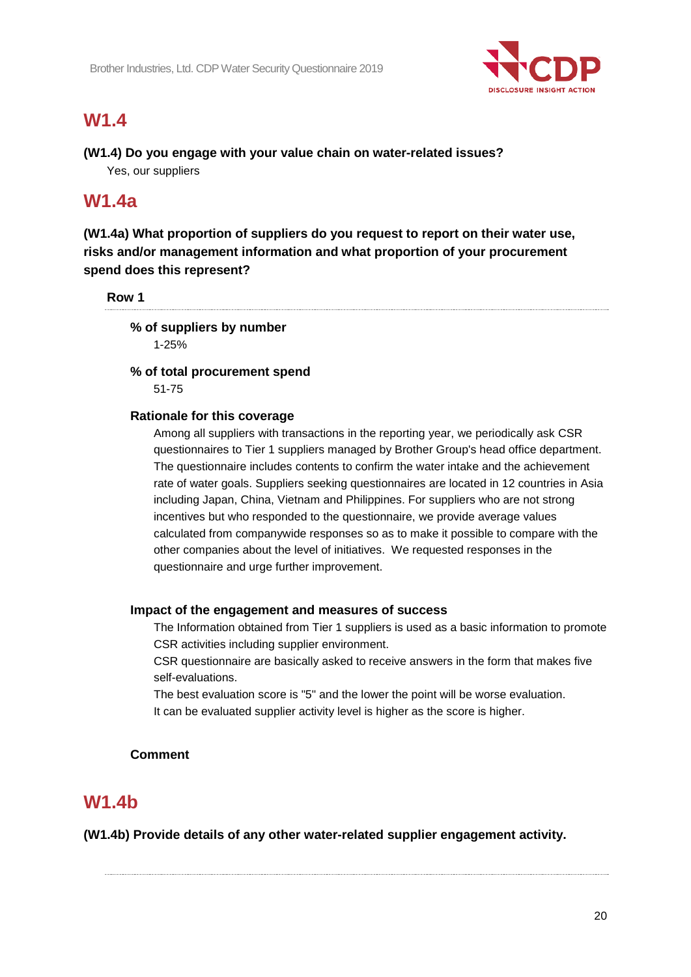

## **W1.4**

#### **(W1.4) Do you engage with your value chain on water-related issues?** Yes, our suppliers

### **W1.4a**

**(W1.4a) What proportion of suppliers do you request to report on their water use, risks and/or management information and what proportion of your procurement spend does this represent?**

#### **Row 1**

#### **% of suppliers by number**

1-25%

#### **% of total procurement spend** 51-75

#### **Rationale for this coverage**

Among all suppliers with transactions in the reporting year, we periodically ask CSR questionnaires to Tier 1 suppliers managed by Brother Group's head office department. The questionnaire includes contents to confirm the water intake and the achievement rate of water goals. Suppliers seeking questionnaires are located in 12 countries in Asia including Japan, China, Vietnam and Philippines. For suppliers who are not strong incentives but who responded to the questionnaire, we provide average values calculated from companywide responses so as to make it possible to compare with the other companies about the level of initiatives. We requested responses in the questionnaire and urge further improvement.

#### **Impact of the engagement and measures of success**

The Information obtained from Tier 1 suppliers is used as a basic information to promote CSR activities including supplier environment.

CSR questionnaire are basically asked to receive answers in the form that makes five self-evaluations.

The best evaluation score is "5" and the lower the point will be worse evaluation. It can be evaluated supplier activity level is higher as the score is higher.

#### **Comment**

### **W1.4b**

**(W1.4b) Provide details of any other water-related supplier engagement activity.**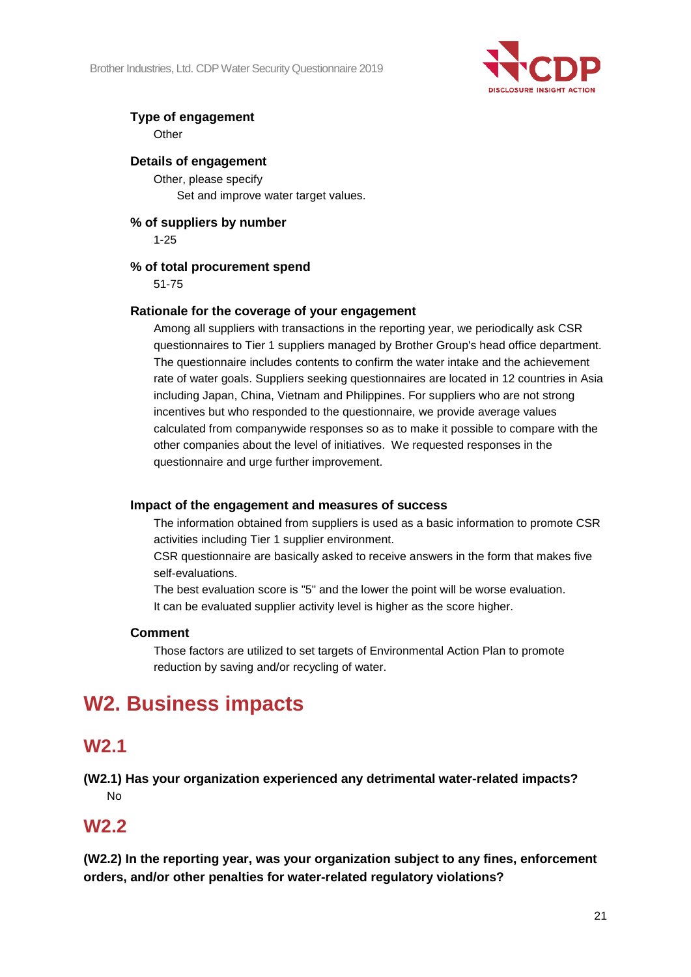

### **Type of engagement**

**Other** 

#### **Details of engagement**

Other, please specify

Set and improve water target values.

**% of suppliers by number** 1-25

#### **% of total procurement spend**

51-75

#### **Rationale for the coverage of your engagement**

Among all suppliers with transactions in the reporting year, we periodically ask CSR questionnaires to Tier 1 suppliers managed by Brother Group's head office department. The questionnaire includes contents to confirm the water intake and the achievement rate of water goals. Suppliers seeking questionnaires are located in 12 countries in Asia including Japan, China, Vietnam and Philippines. For suppliers who are not strong incentives but who responded to the questionnaire, we provide average values calculated from companywide responses so as to make it possible to compare with the other companies about the level of initiatives. We requested responses in the questionnaire and urge further improvement.

#### **Impact of the engagement and measures of success**

The information obtained from suppliers is used as a basic information to promote CSR activities including Tier 1 supplier environment.

CSR questionnaire are basically asked to receive answers in the form that makes five self-evaluations.

The best evaluation score is "5" and the lower the point will be worse evaluation. It can be evaluated supplier activity level is higher as the score higher.

#### **Comment**

Those factors are utilized to set targets of Environmental Action Plan to promote reduction by saving and/or recycling of water.

# **W2. Business impacts**

### **W2.1**

**(W2.1) Has your organization experienced any detrimental water-related impacts?** No

### **W2.2**

**(W2.2) In the reporting year, was your organization subject to any fines, enforcement orders, and/or other penalties for water-related regulatory violations?**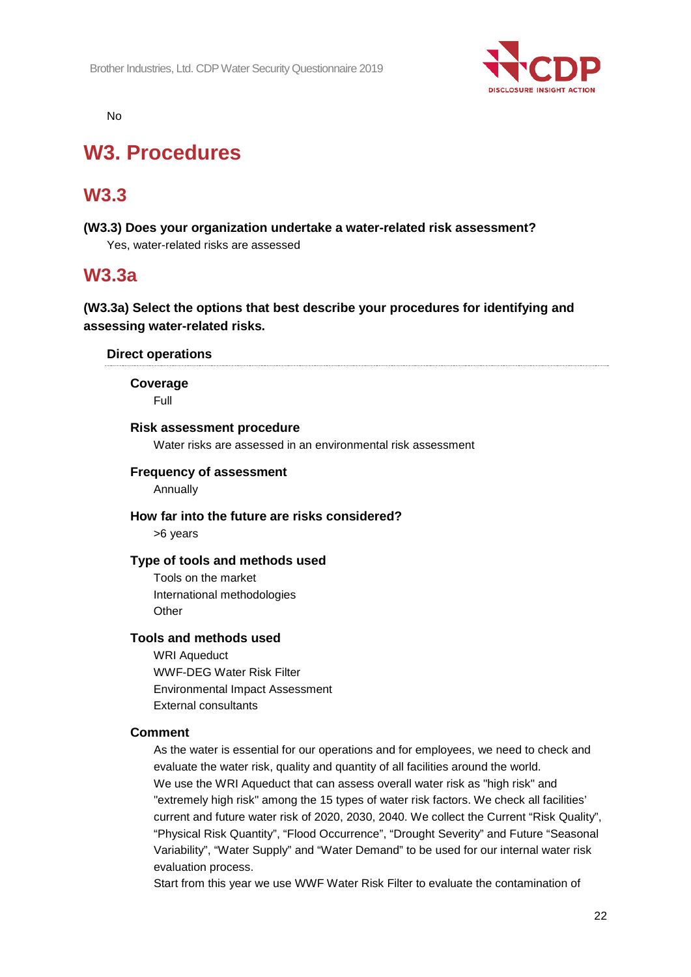

No

# **W3. Procedures**

## **W3.3**

**(W3.3) Does your organization undertake a water-related risk assessment?** Yes, water-related risks are assessed

### **W3.3a**

### **(W3.3a) Select the options that best describe your procedures for identifying and assessing water-related risks.**

#### **Direct operations**

**Coverage**

Full

#### **Risk assessment procedure**

Water risks are assessed in an environmental risk assessment

#### **Frequency of assessment**

Annually

#### **How far into the future are risks considered?**

>6 years

#### **Type of tools and methods used**

Tools on the market International methodologies **Other** 

#### **Tools and methods used**

WRI Aqueduct WWF-DEG Water Risk Filter Environmental Impact Assessment External consultants

#### **Comment**

As the water is essential for our operations and for employees, we need to check and evaluate the water risk, quality and quantity of all facilities around the world. We use the WRI Aqueduct that can assess overall water risk as "high risk" and "extremely high risk" among the 15 types of water risk factors. We check all facilities' current and future water risk of 2020, 2030, 2040. We collect the Current "Risk Quality", "Physical Risk Quantity", "Flood Occurrence", "Drought Severity" and Future "Seasonal Variability", "Water Supply" and "Water Demand" to be used for our internal water risk evaluation process.

Start from this year we use WWF Water Risk Filter to evaluate the contamination of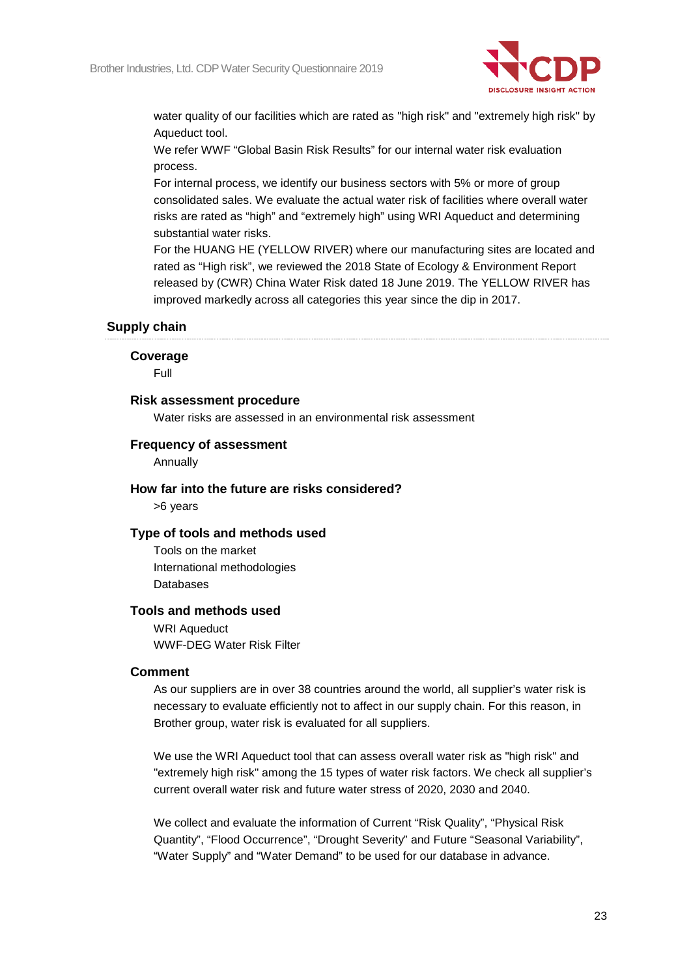

water quality of our facilities which are rated as "high risk" and "extremely high risk" by Aqueduct tool.

We refer WWF "Global Basin Risk Results" for our internal water risk evaluation process.

For internal process, we identify our business sectors with 5% or more of group consolidated sales. We evaluate the actual water risk of facilities where overall water risks are rated as "high" and "extremely high" using WRI Aqueduct and determining substantial water risks.

For the HUANG HE (YELLOW RIVER) where our manufacturing sites are located and rated as "High risk", we reviewed the 2018 State of Ecology & Environment Report released by (CWR) China Water Risk dated 18 June 2019. The YELLOW RIVER has improved markedly across all categories this year since the dip in 2017.

#### **Supply chain**

#### **Coverage**

Full

#### **Risk assessment procedure**

Water risks are assessed in an environmental risk assessment

#### **Frequency of assessment**

Annually

#### **How far into the future are risks considered?**

>6 years

#### **Type of tools and methods used**

Tools on the market International methodologies **Databases** 

#### **Tools and methods used**

WRI Aqueduct WWF-DEG Water Risk Filter

#### **Comment**

As our suppliers are in over 38 countries around the world, all supplier's water risk is necessary to evaluate efficiently not to affect in our supply chain. For this reason, in Brother group, water risk is evaluated for all suppliers.

We use the WRI Aqueduct tool that can assess overall water risk as "high risk" and "extremely high risk" among the 15 types of water risk factors. We check all supplier's current overall water risk and future water stress of 2020, 2030 and 2040.

We collect and evaluate the information of Current "Risk Quality", "Physical Risk Quantity", "Flood Occurrence", "Drought Severity" and Future "Seasonal Variability", "Water Supply" and "Water Demand" to be used for our database in advance.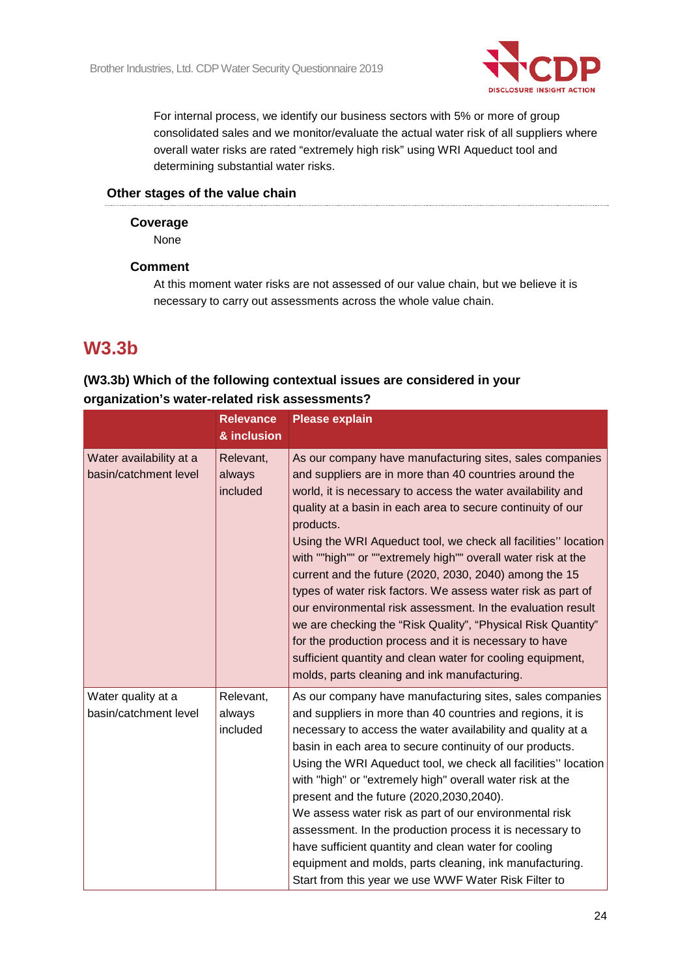

For internal process, we identify our business sectors with 5% or more of group consolidated sales and we monitor/evaluate the actual water risk of all suppliers where overall water risks are rated "extremely high risk" using WRI Aqueduct tool and determining substantial water risks.

#### **Other stages of the value chain**

#### **Coverage**

None

#### **Comment**

At this moment water risks are not assessed of our value chain, but we believe it is necessary to carry out assessments across the whole value chain.

## **W3.3b**

### **(W3.3b) Which of the following contextual issues are considered in your organization's water-related risk assessments?**

|                                                  | <b>Relevance</b><br>& inclusion | <b>Please explain</b>                                                                                                                                                                                                                                                                                                                                                                                                                                                                                                                                                                                                                                                                                                                                                                                                             |
|--------------------------------------------------|---------------------------------|-----------------------------------------------------------------------------------------------------------------------------------------------------------------------------------------------------------------------------------------------------------------------------------------------------------------------------------------------------------------------------------------------------------------------------------------------------------------------------------------------------------------------------------------------------------------------------------------------------------------------------------------------------------------------------------------------------------------------------------------------------------------------------------------------------------------------------------|
| Water availability at a<br>basin/catchment level | Relevant,<br>always<br>included | As our company have manufacturing sites, sales companies<br>and suppliers are in more than 40 countries around the<br>world, it is necessary to access the water availability and<br>quality at a basin in each area to secure continuity of our<br>products.<br>Using the WRI Aqueduct tool, we check all facilities" location<br>with ""high"" or ""extremely high"" overall water risk at the<br>current and the future (2020, 2030, 2040) among the 15<br>types of water risk factors. We assess water risk as part of<br>our environmental risk assessment. In the evaluation result<br>we are checking the "Risk Quality", "Physical Risk Quantity"<br>for the production process and it is necessary to have<br>sufficient quantity and clean water for cooling equipment,<br>molds, parts cleaning and ink manufacturing. |
| Water quality at a<br>basin/catchment level      | Relevant,<br>always<br>included | As our company have manufacturing sites, sales companies<br>and suppliers in more than 40 countries and regions, it is<br>necessary to access the water availability and quality at a<br>basin in each area to secure continuity of our products.<br>Using the WRI Aqueduct tool, we check all facilities" location<br>with "high" or "extremely high" overall water risk at the<br>present and the future (2020, 2030, 2040).<br>We assess water risk as part of our environmental risk<br>assessment. In the production process it is necessary to<br>have sufficient quantity and clean water for cooling<br>equipment and molds, parts cleaning, ink manufacturing.<br>Start from this year we use WWF Water Risk Filter to                                                                                                   |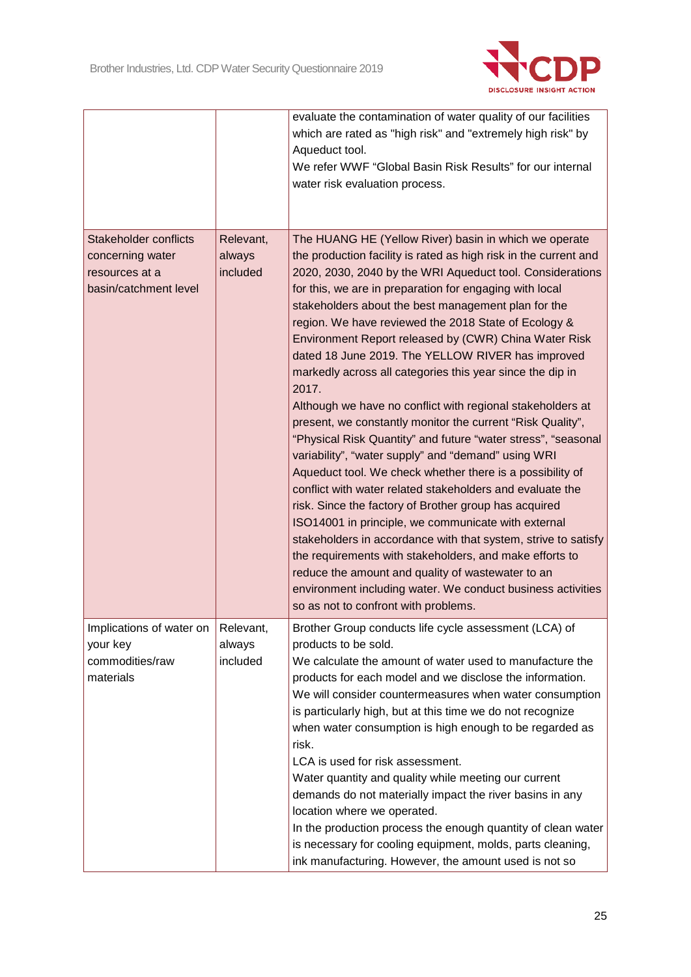

|                                      |           | evaluate the contamination of water quality of our facilities    |
|--------------------------------------|-----------|------------------------------------------------------------------|
|                                      |           | which are rated as "high risk" and "extremely high risk" by      |
|                                      |           | Aqueduct tool.                                                   |
|                                      |           | We refer WWF "Global Basin Risk Results" for our internal        |
|                                      |           | water risk evaluation process.                                   |
|                                      |           |                                                                  |
|                                      |           |                                                                  |
| <b>Stakeholder conflicts</b>         | Relevant, | The HUANG HE (Yellow River) basin in which we operate            |
| concerning water                     | always    | the production facility is rated as high risk in the current and |
| resources at a                       | included  | 2020, 2030, 2040 by the WRI Aqueduct tool. Considerations        |
| basin/catchment level                |           | for this, we are in preparation for engaging with local          |
|                                      |           | stakeholders about the best management plan for the              |
|                                      |           | region. We have reviewed the 2018 State of Ecology &             |
|                                      |           | Environment Report released by (CWR) China Water Risk            |
|                                      |           | dated 18 June 2019. The YELLOW RIVER has improved                |
|                                      |           | markedly across all categories this year since the dip in        |
|                                      |           | 2017.                                                            |
|                                      |           | Although we have no conflict with regional stakeholders at       |
|                                      |           | present, we constantly monitor the current "Risk Quality",       |
|                                      |           | "Physical Risk Quantity" and future "water stress", "seasonal    |
|                                      |           | variability", "water supply" and "demand" using WRI              |
|                                      |           | Aqueduct tool. We check whether there is a possibility of        |
|                                      |           | conflict with water related stakeholders and evaluate the        |
|                                      |           | risk. Since the factory of Brother group has acquired            |
|                                      |           | ISO14001 in principle, we communicate with external              |
|                                      |           | stakeholders in accordance with that system, strive to satisfy   |
|                                      |           | the requirements with stakeholders, and make efforts to          |
|                                      |           | reduce the amount and quality of wastewater to an                |
|                                      |           | environment including water. We conduct business activities      |
|                                      |           | so as not to confront with problems.                             |
| Implications of water on   Relevant, |           | Brother Group conducts life cycle assessment (LCA) of            |
| your key                             | always    | products to be sold.                                             |
| commodities/raw                      | included  | We calculate the amount of water used to manufacture the         |
| materials                            |           | products for each model and we disclose the information.         |
|                                      |           | We will consider countermeasures when water consumption          |
|                                      |           | is particularly high, but at this time we do not recognize       |
|                                      |           | when water consumption is high enough to be regarded as          |
|                                      |           | risk.                                                            |
|                                      |           | LCA is used for risk assessment.                                 |
|                                      |           | Water quantity and quality while meeting our current             |
|                                      |           | demands do not materially impact the river basins in any         |
|                                      |           | location where we operated.                                      |
|                                      |           | In the production process the enough quantity of clean water     |
|                                      |           | is necessary for cooling equipment, molds, parts cleaning,       |
|                                      |           | ink manufacturing. However, the amount used is not so            |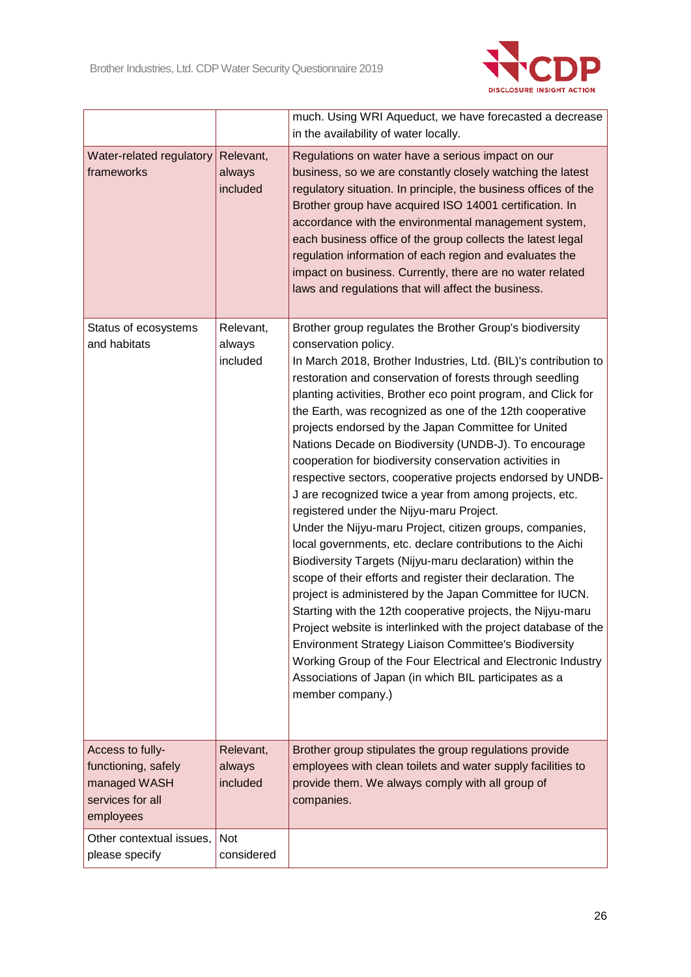

|                                                                                          |                                 | much. Using WRI Aqueduct, we have forecasted a decrease<br>in the availability of water locally.                                                                                                                                                                                                                                                                                                                                                                                                                                                                                                                                                                                                                                                                                                                                                                                                                                                                                                                                                                                                                                                                                                                                                                                                                                                     |
|------------------------------------------------------------------------------------------|---------------------------------|------------------------------------------------------------------------------------------------------------------------------------------------------------------------------------------------------------------------------------------------------------------------------------------------------------------------------------------------------------------------------------------------------------------------------------------------------------------------------------------------------------------------------------------------------------------------------------------------------------------------------------------------------------------------------------------------------------------------------------------------------------------------------------------------------------------------------------------------------------------------------------------------------------------------------------------------------------------------------------------------------------------------------------------------------------------------------------------------------------------------------------------------------------------------------------------------------------------------------------------------------------------------------------------------------------------------------------------------------|
| Water-related regulatory<br>frameworks                                                   | Relevant,<br>always<br>included | Regulations on water have a serious impact on our<br>business, so we are constantly closely watching the latest<br>regulatory situation. In principle, the business offices of the<br>Brother group have acquired ISO 14001 certification. In<br>accordance with the environmental management system,<br>each business office of the group collects the latest legal<br>regulation information of each region and evaluates the<br>impact on business. Currently, there are no water related<br>laws and regulations that will affect the business.                                                                                                                                                                                                                                                                                                                                                                                                                                                                                                                                                                                                                                                                                                                                                                                                  |
| Status of ecosystems<br>and habitats                                                     | Relevant,<br>always<br>included | Brother group regulates the Brother Group's biodiversity<br>conservation policy.<br>In March 2018, Brother Industries, Ltd. (BIL)'s contribution to<br>restoration and conservation of forests through seedling<br>planting activities, Brother eco point program, and Click for<br>the Earth, was recognized as one of the 12th cooperative<br>projects endorsed by the Japan Committee for United<br>Nations Decade on Biodiversity (UNDB-J). To encourage<br>cooperation for biodiversity conservation activities in<br>respective sectors, cooperative projects endorsed by UNDB-<br>J are recognized twice a year from among projects, etc.<br>registered under the Nijyu-maru Project.<br>Under the Nijyu-maru Project, citizen groups, companies,<br>local governments, etc. declare contributions to the Aichi<br>Biodiversity Targets (Nijyu-maru declaration) within the<br>scope of their efforts and register their declaration. The<br>project is administered by the Japan Committee for IUCN.<br>Starting with the 12th cooperative projects, the Nijyu-maru<br>Project website is interlinked with the project database of the<br>Environment Strategy Liaison Committee's Biodiversity<br>Working Group of the Four Electrical and Electronic Industry<br>Associations of Japan (in which BIL participates as a<br>member company.) |
| Access to fully-<br>functioning, safely<br>managed WASH<br>services for all<br>employees | Relevant,<br>always<br>included | Brother group stipulates the group regulations provide<br>employees with clean toilets and water supply facilities to<br>provide them. We always comply with all group of<br>companies.                                                                                                                                                                                                                                                                                                                                                                                                                                                                                                                                                                                                                                                                                                                                                                                                                                                                                                                                                                                                                                                                                                                                                              |
| Other contextual issues,<br>please specify                                               | Not<br>considered               |                                                                                                                                                                                                                                                                                                                                                                                                                                                                                                                                                                                                                                                                                                                                                                                                                                                                                                                                                                                                                                                                                                                                                                                                                                                                                                                                                      |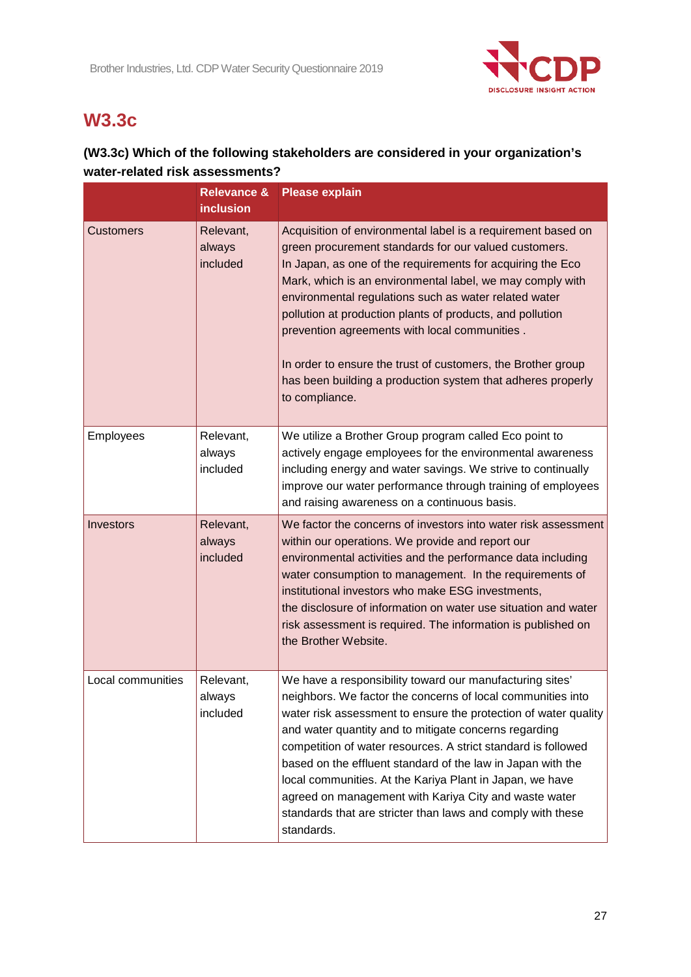

# **W3.3c**

### **(W3.3c) Which of the following stakeholders are considered in your organization's water-related risk assessments?**

|                   | <b>Relevance &amp;</b><br><b>inclusion</b> | <b>Please explain</b>                                                                                                                                                                                                                                                                                                                                                                                                                                                                                                                                                                 |
|-------------------|--------------------------------------------|---------------------------------------------------------------------------------------------------------------------------------------------------------------------------------------------------------------------------------------------------------------------------------------------------------------------------------------------------------------------------------------------------------------------------------------------------------------------------------------------------------------------------------------------------------------------------------------|
| <b>Customers</b>  | Relevant,<br>always<br>included            | Acquisition of environmental label is a requirement based on<br>green procurement standards for our valued customers.<br>In Japan, as one of the requirements for acquiring the Eco<br>Mark, which is an environmental label, we may comply with<br>environmental regulations such as water related water<br>pollution at production plants of products, and pollution<br>prevention agreements with local communities.<br>In order to ensure the trust of customers, the Brother group<br>has been building a production system that adheres properly<br>to compliance.              |
| <b>Employees</b>  | Relevant,<br>always<br>included            | We utilize a Brother Group program called Eco point to<br>actively engage employees for the environmental awareness<br>including energy and water savings. We strive to continually<br>improve our water performance through training of employees<br>and raising awareness on a continuous basis.                                                                                                                                                                                                                                                                                    |
| Investors         | Relevant,<br>always<br>included            | We factor the concerns of investors into water risk assessment<br>within our operations. We provide and report our<br>environmental activities and the performance data including<br>water consumption to management. In the requirements of<br>institutional investors who make ESG investments,<br>the disclosure of information on water use situation and water<br>risk assessment is required. The information is published on<br>the Brother Website.                                                                                                                           |
| Local communities | Relevant,<br>always<br>included            | We have a responsibility toward our manufacturing sites'<br>neighbors. We factor the concerns of local communities into<br>water risk assessment to ensure the protection of water quality<br>and water quantity and to mitigate concerns regarding<br>competition of water resources. A strict standard is followed<br>based on the effluent standard of the law in Japan with the<br>local communities. At the Kariya Plant in Japan, we have<br>agreed on management with Kariya City and waste water<br>standards that are stricter than laws and comply with these<br>standards. |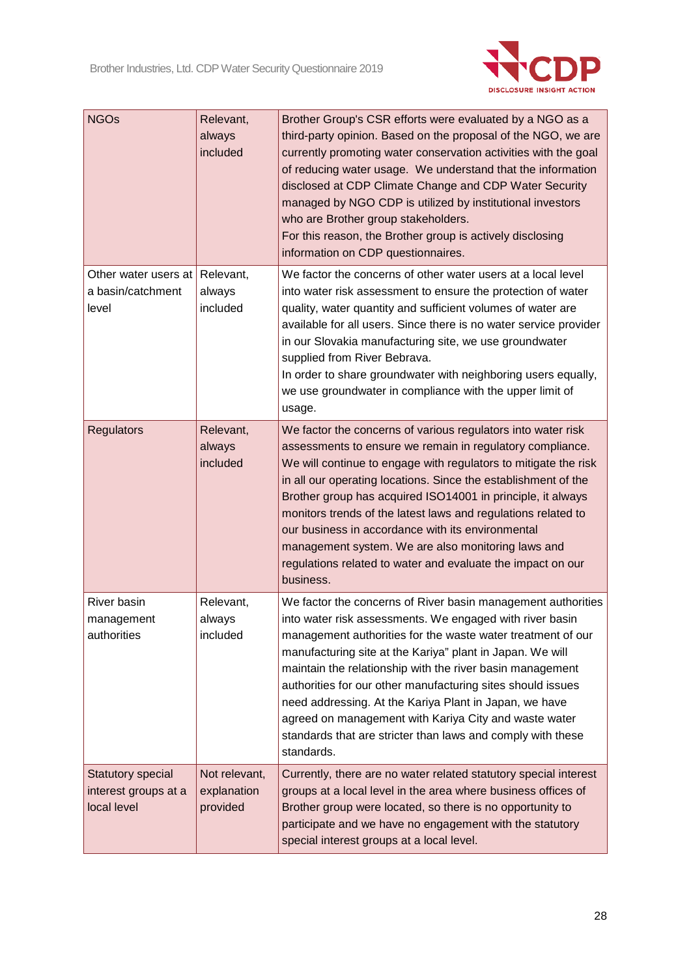

| <b>NGOs</b>                                                     | Relevant,<br>always<br>included          | Brother Group's CSR efforts were evaluated by a NGO as a<br>third-party opinion. Based on the proposal of the NGO, we are<br>currently promoting water conservation activities with the goal<br>of reducing water usage. We understand that the information<br>disclosed at CDP Climate Change and CDP Water Security<br>managed by NGO CDP is utilized by institutional investors<br>who are Brother group stakeholders.<br>For this reason, the Brother group is actively disclosing<br>information on CDP questionnaires.                                                          |
|-----------------------------------------------------------------|------------------------------------------|---------------------------------------------------------------------------------------------------------------------------------------------------------------------------------------------------------------------------------------------------------------------------------------------------------------------------------------------------------------------------------------------------------------------------------------------------------------------------------------------------------------------------------------------------------------------------------------|
| Other water users at<br>a basin/catchment<br>level              | Relevant,<br>always<br>included          | We factor the concerns of other water users at a local level<br>into water risk assessment to ensure the protection of water<br>quality, water quantity and sufficient volumes of water are<br>available for all users. Since there is no water service provider<br>in our Slovakia manufacturing site, we use groundwater<br>supplied from River Bebrava.<br>In order to share groundwater with neighboring users equally,<br>we use groundwater in compliance with the upper limit of<br>usage.                                                                                     |
| <b>Regulators</b>                                               | Relevant,<br>always<br>included          | We factor the concerns of various regulators into water risk<br>assessments to ensure we remain in regulatory compliance.<br>We will continue to engage with regulators to mitigate the risk<br>in all our operating locations. Since the establishment of the<br>Brother group has acquired ISO14001 in principle, it always<br>monitors trends of the latest laws and regulations related to<br>our business in accordance with its environmental<br>management system. We are also monitoring laws and<br>regulations related to water and evaluate the impact on our<br>business. |
| River basin<br>management<br>authorities                        | Relevant,<br>always<br>included          | We factor the concerns of River basin management authorities<br>into water risk assessments. We engaged with river basin<br>management authorities for the waste water treatment of our<br>manufacturing site at the Kariya" plant in Japan. We will<br>maintain the relationship with the river basin management<br>authorities for our other manufacturing sites should issues<br>need addressing. At the Kariya Plant in Japan, we have<br>agreed on management with Kariya City and waste water<br>standards that are stricter than laws and comply with these<br>standards.      |
| <b>Statutory special</b><br>interest groups at a<br>local level | Not relevant,<br>explanation<br>provided | Currently, there are no water related statutory special interest<br>groups at a local level in the area where business offices of<br>Brother group were located, so there is no opportunity to<br>participate and we have no engagement with the statutory<br>special interest groups at a local level.                                                                                                                                                                                                                                                                               |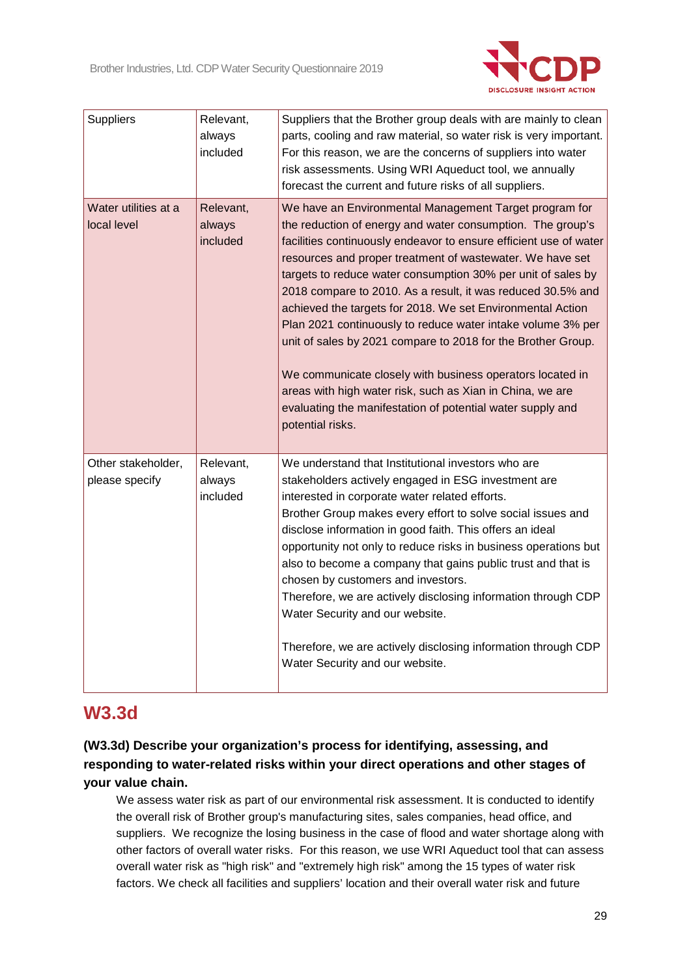

| Suppliers                            | Relevant,<br>always<br>included | Suppliers that the Brother group deals with are mainly to clean<br>parts, cooling and raw material, so water risk is very important.<br>For this reason, we are the concerns of suppliers into water<br>risk assessments. Using WRI Aqueduct tool, we annually<br>forecast the current and future risks of all suppliers.                                                                                                                                                                                                                                                                                                                                                                                                                                                                      |
|--------------------------------------|---------------------------------|------------------------------------------------------------------------------------------------------------------------------------------------------------------------------------------------------------------------------------------------------------------------------------------------------------------------------------------------------------------------------------------------------------------------------------------------------------------------------------------------------------------------------------------------------------------------------------------------------------------------------------------------------------------------------------------------------------------------------------------------------------------------------------------------|
| Water utilities at a<br>local level  | Relevant,<br>always<br>included | We have an Environmental Management Target program for<br>the reduction of energy and water consumption. The group's<br>facilities continuously endeavor to ensure efficient use of water<br>resources and proper treatment of wastewater. We have set<br>targets to reduce water consumption 30% per unit of sales by<br>2018 compare to 2010. As a result, it was reduced 30.5% and<br>achieved the targets for 2018. We set Environmental Action<br>Plan 2021 continuously to reduce water intake volume 3% per<br>unit of sales by 2021 compare to 2018 for the Brother Group.<br>We communicate closely with business operators located in<br>areas with high water risk, such as Xian in China, we are<br>evaluating the manifestation of potential water supply and<br>potential risks. |
| Other stakeholder,<br>please specify | Relevant,<br>always<br>included | We understand that Institutional investors who are<br>stakeholders actively engaged in ESG investment are<br>interested in corporate water related efforts.<br>Brother Group makes every effort to solve social issues and<br>disclose information in good faith. This offers an ideal<br>opportunity not only to reduce risks in business operations but<br>also to become a company that gains public trust and that is<br>chosen by customers and investors.<br>Therefore, we are actively disclosing information through CDP<br>Water Security and our website.<br>Therefore, we are actively disclosing information through CDP<br>Water Security and our website.                                                                                                                        |

## **W3.3d**

**(W3.3d) Describe your organization's process for identifying, assessing, and responding to water-related risks within your direct operations and other stages of your value chain.**

We assess water risk as part of our environmental risk assessment. It is conducted to identify the overall risk of Brother group's manufacturing sites, sales companies, head office, and suppliers. We recognize the losing business in the case of flood and water shortage along with other factors of overall water risks. For this reason, we use WRI Aqueduct tool that can assess overall water risk as "high risk" and "extremely high risk" among the 15 types of water risk factors. We check all facilities and suppliers' location and their overall water risk and future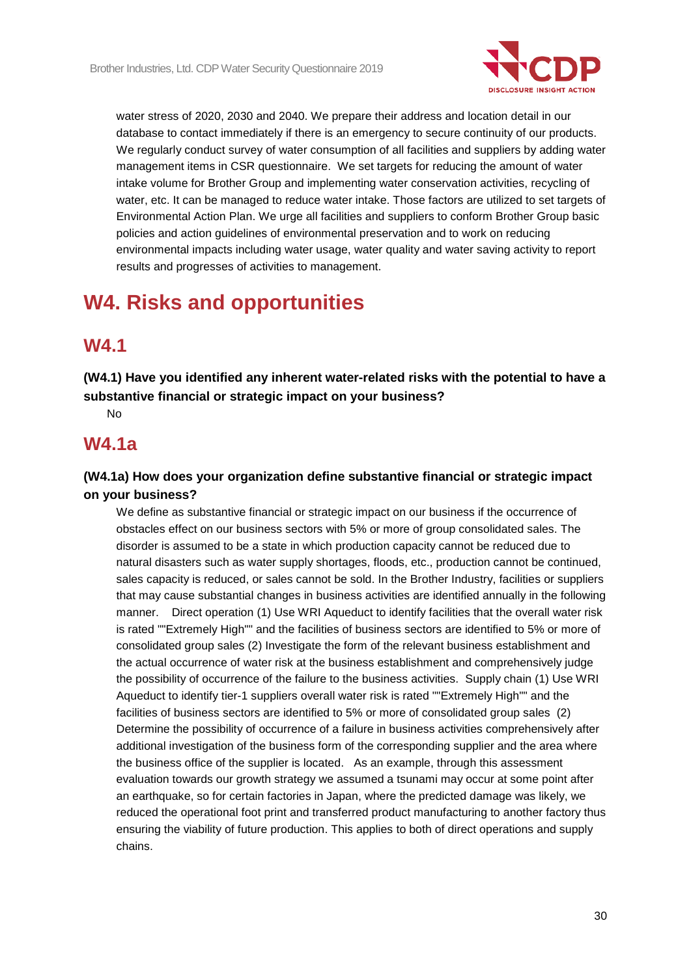

water stress of 2020, 2030 and 2040. We prepare their address and location detail in our database to contact immediately if there is an emergency to secure continuity of our products. We regularly conduct survey of water consumption of all facilities and suppliers by adding water management items in CSR questionnaire. We set targets for reducing the amount of water intake volume for Brother Group and implementing water conservation activities, recycling of water, etc. It can be managed to reduce water intake. Those factors are utilized to set targets of Environmental Action Plan. We urge all facilities and suppliers to conform Brother Group basic policies and action guidelines of environmental preservation and to work on reducing environmental impacts including water usage, water quality and water saving activity to report results and progresses of activities to management.

# **W4. Risks and opportunities**

## **W4.1**

**(W4.1) Have you identified any inherent water-related risks with the potential to have a substantive financial or strategic impact on your business?**

No

### **W4.1a**

#### **(W4.1a) How does your organization define substantive financial or strategic impact on your business?**

We define as substantive financial or strategic impact on our business if the occurrence of obstacles effect on our business sectors with 5% or more of group consolidated sales. The disorder is assumed to be a state in which production capacity cannot be reduced due to natural disasters such as water supply shortages, floods, etc., production cannot be continued, sales capacity is reduced, or sales cannot be sold. In the Brother Industry, facilities or suppliers that may cause substantial changes in business activities are identified annually in the following manner. Direct operation (1) Use WRI Aqueduct to identify facilities that the overall water risk is rated ""Extremely High"" and the facilities of business sectors are identified to 5% or more of consolidated group sales (2) Investigate the form of the relevant business establishment and the actual occurrence of water risk at the business establishment and comprehensively judge the possibility of occurrence of the failure to the business activities. Supply chain (1) Use WRI Aqueduct to identify tier-1 suppliers overall water risk is rated ""Extremely High"" and the facilities of business sectors are identified to 5% or more of consolidated group sales (2) Determine the possibility of occurrence of a failure in business activities comprehensively after additional investigation of the business form of the corresponding supplier and the area where the business office of the supplier is located. As an example, through this assessment evaluation towards our growth strategy we assumed a tsunami may occur at some point after an earthquake, so for certain factories in Japan, where the predicted damage was likely, we reduced the operational foot print and transferred product manufacturing to another factory thus ensuring the viability of future production. This applies to both of direct operations and supply chains.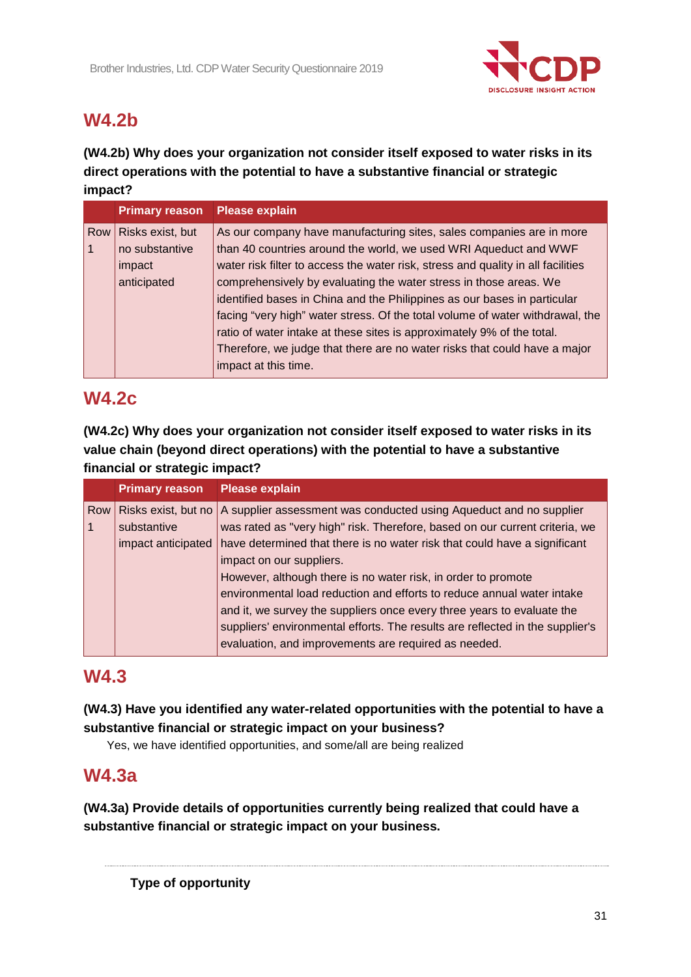

## **W4.2b**

### **(W4.2b) Why does your organization not consider itself exposed to water risks in its direct operations with the potential to have a substantive financial or strategic impact?**

|            | <b>Primary reason</b> | <b>Please explain</b>                                                            |
|------------|-----------------------|----------------------------------------------------------------------------------|
| <b>Row</b> | Risks exist, but      | As our company have manufacturing sites, sales companies are in more             |
|            | no substantive        | than 40 countries around the world, we used WRI Aqueduct and WWF                 |
|            | impact                | water risk filter to access the water risk, stress and quality in all facilities |
|            | anticipated           | comprehensively by evaluating the water stress in those areas. We                |
|            |                       | identified bases in China and the Philippines as our bases in particular         |
|            |                       | facing "very high" water stress. Of the total volume of water withdrawal, the    |
|            |                       | ratio of water intake at these sites is approximately 9% of the total.           |
|            |                       | Therefore, we judge that there are no water risks that could have a major        |
|            |                       | impact at this time.                                                             |

## **W4.2c**

**(W4.2c) Why does your organization not consider itself exposed to water risks in its value chain (beyond direct operations) with the potential to have a substantive financial or strategic impact?**

|     | <b>Primary reason</b> | <b>Please explain</b>                                                                    |
|-----|-----------------------|------------------------------------------------------------------------------------------|
| Row |                       | Risks exist, but no   A supplier assessment was conducted using Aqueduct and no supplier |
|     | substantive           | was rated as "very high" risk. Therefore, based on our current criteria, we              |
|     | impact anticipated    | have determined that there is no water risk that could have a significant                |
|     |                       | impact on our suppliers.                                                                 |
|     |                       | However, although there is no water risk, in order to promote                            |
|     |                       | environmental load reduction and efforts to reduce annual water intake                   |
|     |                       | and it, we survey the suppliers once every three years to evaluate the                   |
|     |                       | suppliers' environmental efforts. The results are reflected in the supplier's            |
|     |                       | evaluation, and improvements are required as needed.                                     |
|     |                       |                                                                                          |

## **W4.3**

### **(W4.3) Have you identified any water-related opportunities with the potential to have a substantive financial or strategic impact on your business?**

Yes, we have identified opportunities, and some/all are being realized

## **W4.3a**

**(W4.3a) Provide details of opportunities currently being realized that could have a substantive financial or strategic impact on your business.**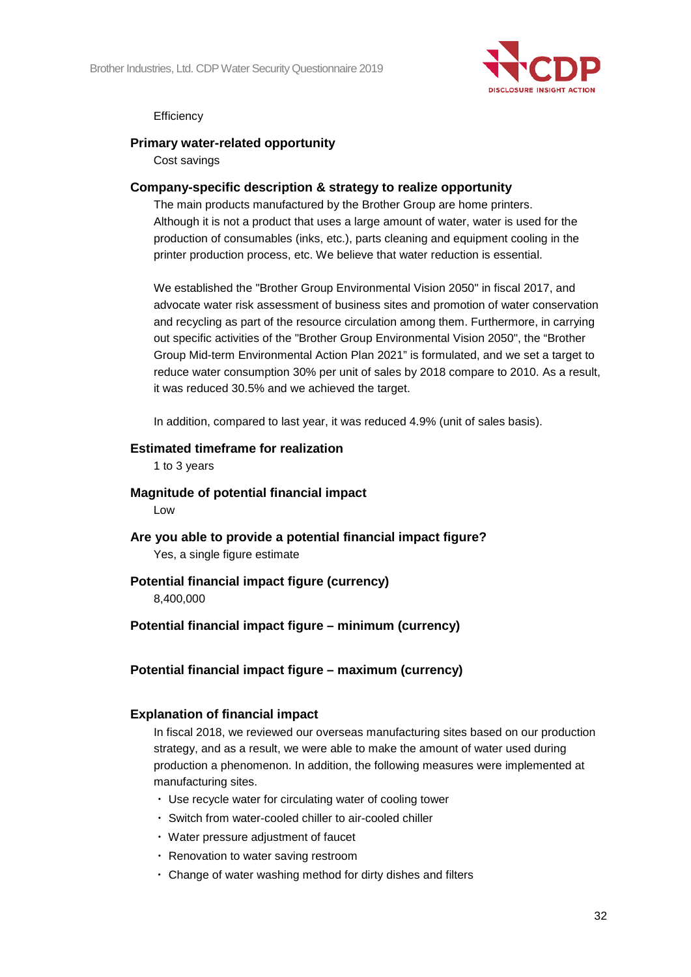

#### **Efficiency**

#### **Primary water-related opportunity**

Cost savings

#### **Company-specific description & strategy to realize opportunity**

The main products manufactured by the Brother Group are home printers. Although it is not a product that uses a large amount of water, water is used for the production of consumables (inks, etc.), parts cleaning and equipment cooling in the printer production process, etc. We believe that water reduction is essential.

We established the "Brother Group Environmental Vision 2050" in fiscal 2017, and advocate water risk assessment of business sites and promotion of water conservation and recycling as part of the resource circulation among them. Furthermore, in carrying out specific activities of the "Brother Group Environmental Vision 2050", the "Brother Group Mid-term Environmental Action Plan 2021" is formulated, and we set a target to reduce water consumption 30% per unit of sales by 2018 compare to 2010. As a result, it was reduced 30.5% and we achieved the target.

In addition, compared to last year, it was reduced 4.9% (unit of sales basis).

#### **Estimated timeframe for realization**

1 to 3 years

**Magnitude of potential financial impact**

Low

**Are you able to provide a potential financial impact figure?** Yes, a single figure estimate

## **Potential financial impact figure (currency)**

8,400,000

#### **Potential financial impact figure – minimum (currency)**

**Potential financial impact figure – maximum (currency)**

#### **Explanation of financial impact**

In fiscal 2018, we reviewed our overseas manufacturing sites based on our production strategy, and as a result, we were able to make the amount of water used during production a phenomenon. In addition, the following measures were implemented at manufacturing sites.

- ・ Use recycle water for circulating water of cooling tower
- ・ Switch from water-cooled chiller to air-cooled chiller
- ・ Water pressure adjustment of faucet
- ・ Renovation to water saving restroom
- ・ Change of water washing method for dirty dishes and filters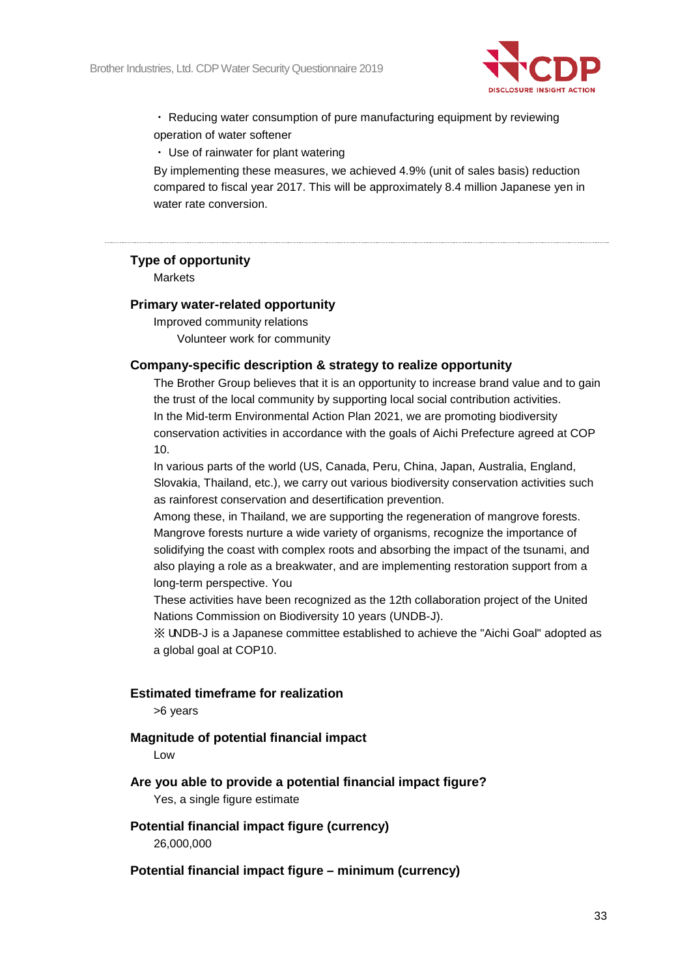

・ Reducing water consumption of pure manufacturing equipment by reviewing operation of water softener

・ Use of rainwater for plant watering

By implementing these measures, we achieved 4.9% (unit of sales basis) reduction compared to fiscal year 2017. This will be approximately 8.4 million Japanese yen in water rate conversion.

#### **Type of opportunity**

**Markets** 

#### **Primary water-related opportunity**

Improved community relations Volunteer work for community

#### **Company-specific description & strategy to realize opportunity**

The Brother Group believes that it is an opportunity to increase brand value and to gain the trust of the local community by supporting local social contribution activities. In the Mid-term Environmental Action Plan 2021, we are promoting biodiversity conservation activities in accordance with the goals of Aichi Prefecture agreed at COP 10.

In various parts of the world (US, Canada, Peru, China, Japan, Australia, England, Slovakia, Thailand, etc.), we carry out various biodiversity conservation activities such as rainforest conservation and desertification prevention.

Among these, in Thailand, we are supporting the regeneration of mangrove forests. Mangrove forests nurture a wide variety of organisms, recognize the importance of solidifying the coast with complex roots and absorbing the impact of the tsunami, and also playing a role as a breakwater, and are implementing restoration support from a long-term perspective. You

These activities have been recognized as the 12th collaboration project of the United Nations Commission on Biodiversity 10 years (UNDB-J).

※ UNDB-J is a Japanese committee established to achieve the "Aichi Goal" adopted as a global goal at COP10.

#### **Estimated timeframe for realization**

>6 years

#### **Magnitude of potential financial impact**

Low

#### **Are you able to provide a potential financial impact figure?**

Yes, a single figure estimate

# **Potential financial impact figure (currency)**

26,000,000

#### **Potential financial impact figure – minimum (currency)**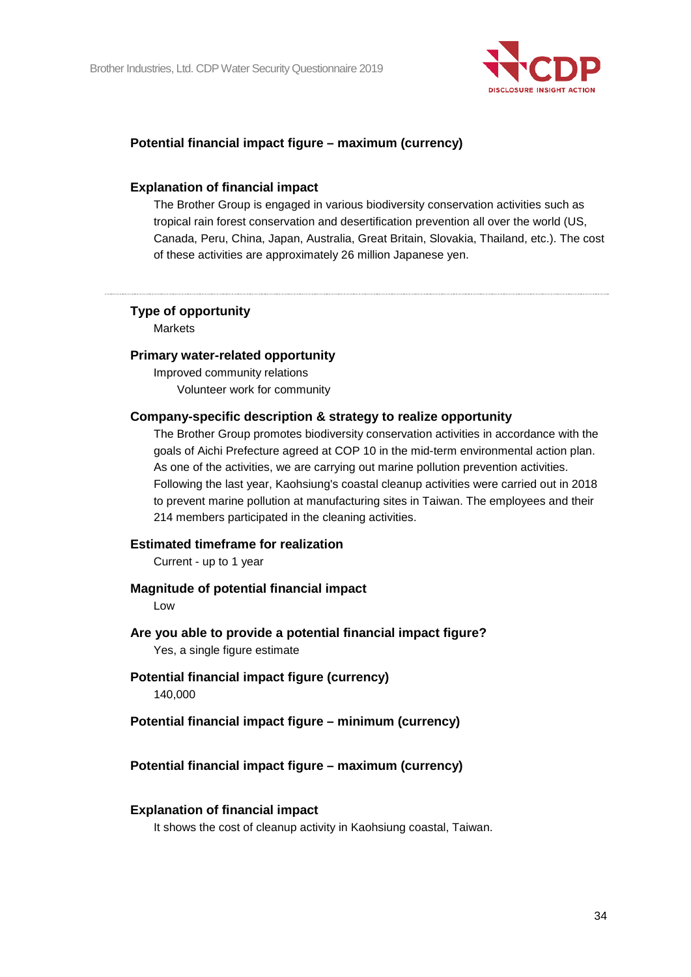

#### **Potential financial impact figure – maximum (currency)**

#### **Explanation of financial impact**

The Brother Group is engaged in various biodiversity conservation activities such as tropical rain forest conservation and desertification prevention all over the world (US, Canada, Peru, China, Japan, Australia, Great Britain, Slovakia, Thailand, etc.). The cost of these activities are approximately 26 million Japanese yen.

#### **Type of opportunity**

**Markets** 

#### **Primary water-related opportunity**

Improved community relations Volunteer work for community

#### **Company-specific description & strategy to realize opportunity**

The Brother Group promotes biodiversity conservation activities in accordance with the goals of Aichi Prefecture agreed at COP 10 in the mid-term environmental action plan. As one of the activities, we are carrying out marine pollution prevention activities. Following the last year, Kaohsiung's coastal cleanup activities were carried out in 2018 to prevent marine pollution at manufacturing sites in Taiwan. The employees and their 214 members participated in the cleaning activities.

#### **Estimated timeframe for realization**

Current - up to 1 year

#### **Magnitude of potential financial impact**

Low

#### **Are you able to provide a potential financial impact figure?**

Yes, a single figure estimate

**Potential financial impact figure (currency)** 140,000

#### **Potential financial impact figure – minimum (currency)**

#### **Potential financial impact figure – maximum (currency)**

#### **Explanation of financial impact**

It shows the cost of cleanup activity in Kaohsiung coastal, Taiwan.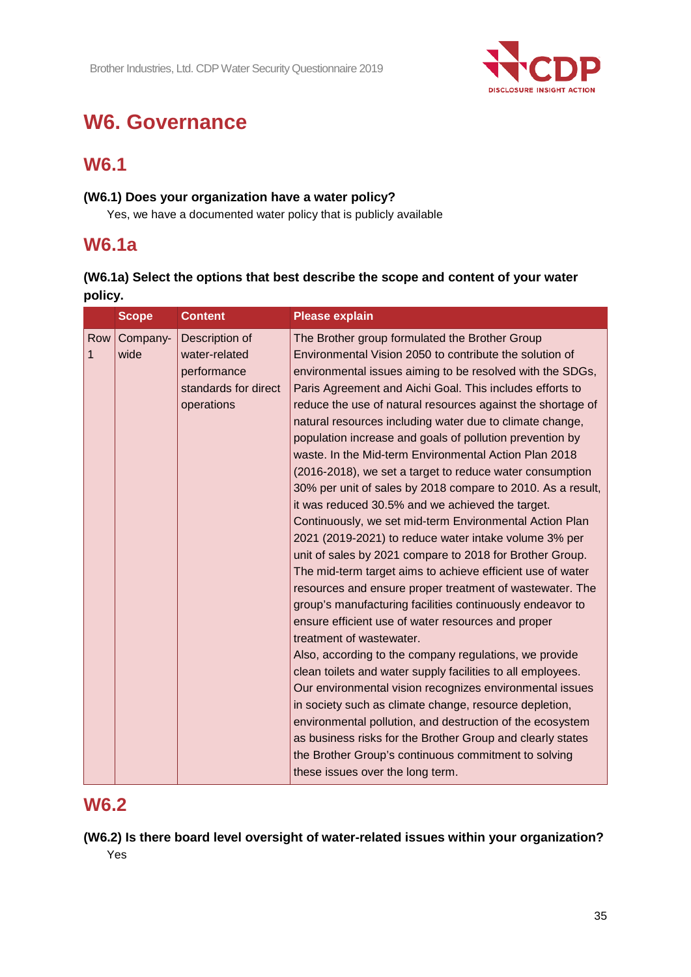

# **W6. Governance**

## **W6.1**

### **(W6.1) Does your organization have a water policy?**

Yes, we have a documented water policy that is publicly available

## **W6.1a**

### **(W6.1a) Select the options that best describe the scope and content of your water policy.**

|                     | <b>Scope</b><br><b>Content</b>                                                                           | <b>Please explain</b>                                                                                                                                                                                                                                                                                                                                                                                                                                                                                                                                                                                                                                                                                                                                                                                                                                                                                                                                                                                                                                                                                                                                                                                                                                                                                                                                                                                                                                                                                                                                                                            |
|---------------------|----------------------------------------------------------------------------------------------------------|--------------------------------------------------------------------------------------------------------------------------------------------------------------------------------------------------------------------------------------------------------------------------------------------------------------------------------------------------------------------------------------------------------------------------------------------------------------------------------------------------------------------------------------------------------------------------------------------------------------------------------------------------------------------------------------------------------------------------------------------------------------------------------------------------------------------------------------------------------------------------------------------------------------------------------------------------------------------------------------------------------------------------------------------------------------------------------------------------------------------------------------------------------------------------------------------------------------------------------------------------------------------------------------------------------------------------------------------------------------------------------------------------------------------------------------------------------------------------------------------------------------------------------------------------------------------------------------------------|
| Row<br>$\mathbf{1}$ | Company-<br>Description of<br>water-related<br>wide<br>performance<br>standards for direct<br>operations | The Brother group formulated the Brother Group<br>Environmental Vision 2050 to contribute the solution of<br>environmental issues aiming to be resolved with the SDGs,<br>Paris Agreement and Aichi Goal. This includes efforts to<br>reduce the use of natural resources against the shortage of<br>natural resources including water due to climate change,<br>population increase and goals of pollution prevention by<br>waste. In the Mid-term Environmental Action Plan 2018<br>(2016-2018), we set a target to reduce water consumption<br>30% per unit of sales by 2018 compare to 2010. As a result,<br>it was reduced 30.5% and we achieved the target.<br>Continuously, we set mid-term Environmental Action Plan<br>2021 (2019-2021) to reduce water intake volume 3% per<br>unit of sales by 2021 compare to 2018 for Brother Group.<br>The mid-term target aims to achieve efficient use of water<br>resources and ensure proper treatment of wastewater. The<br>group's manufacturing facilities continuously endeavor to<br>ensure efficient use of water resources and proper<br>treatment of wastewater.<br>Also, according to the company regulations, we provide<br>clean toilets and water supply facilities to all employees.<br>Our environmental vision recognizes environmental issues<br>in society such as climate change, resource depletion,<br>environmental pollution, and destruction of the ecosystem<br>as business risks for the Brother Group and clearly states<br>the Brother Group's continuous commitment to solving<br>these issues over the long term. |

## **W6.2**

**(W6.2) Is there board level oversight of water-related issues within your organization?** Yes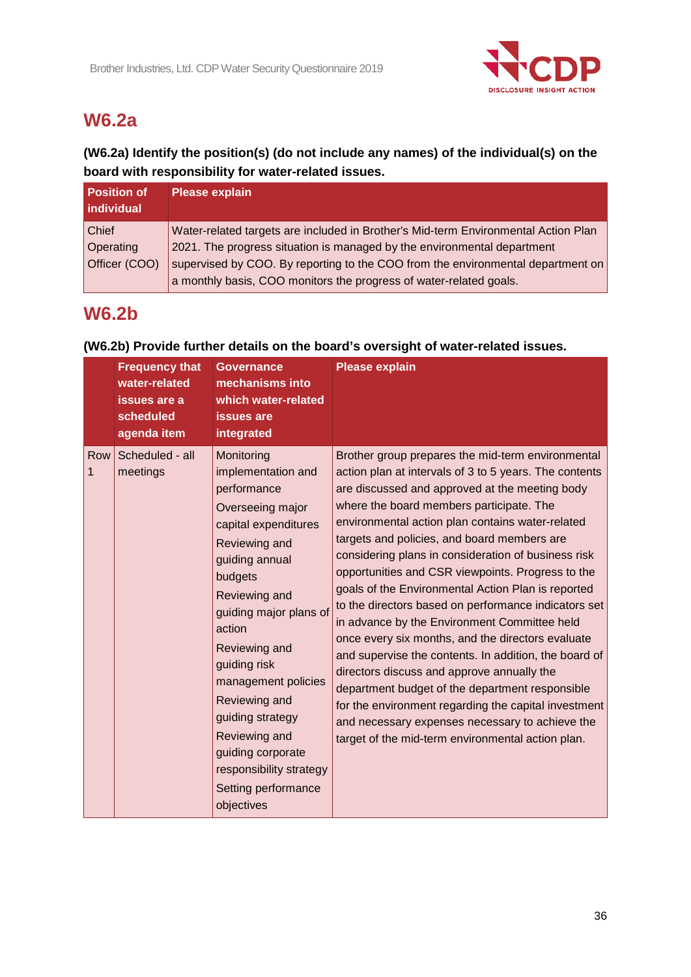

## **W6.2a**

### **(W6.2a) Identify the position(s) (do not include any names) of the individual(s) on the board with responsibility for water-related issues.**

| l Position of<br><b>individual</b> | <b>Please explain</b>                                                              |
|------------------------------------|------------------------------------------------------------------------------------|
| <b>Chief</b>                       | Water-related targets are included in Brother's Mid-term Environmental Action Plan |
| Operating                          | 2021. The progress situation is managed by the environmental department            |
| Officer (COO)                      | supervised by COO. By reporting to the COO from the environmental department on    |
|                                    | a monthly basis, COO monitors the progress of water-related goals.                 |

## **W6.2b**

|          | <b>Frequency that</b><br>water-related<br>issues are a<br>scheduled<br>agenda item | <b>Governance</b><br>mechanisms into<br>which water-related<br><b>issues</b> are<br>integrated                                                                                                                                                                                                                                                                                                    | <b>Please explain</b>                                                                                                                                                                                                                                                                                                                                                                                                                                                                                                                                                                                                                                                                                                                                                                                                                                                                                                                                                 |
|----------|------------------------------------------------------------------------------------|---------------------------------------------------------------------------------------------------------------------------------------------------------------------------------------------------------------------------------------------------------------------------------------------------------------------------------------------------------------------------------------------------|-----------------------------------------------------------------------------------------------------------------------------------------------------------------------------------------------------------------------------------------------------------------------------------------------------------------------------------------------------------------------------------------------------------------------------------------------------------------------------------------------------------------------------------------------------------------------------------------------------------------------------------------------------------------------------------------------------------------------------------------------------------------------------------------------------------------------------------------------------------------------------------------------------------------------------------------------------------------------|
| Row<br>1 | Scheduled - all<br>meetings                                                        | Monitoring<br>implementation and<br>performance<br>Overseeing major<br>capital expenditures<br>Reviewing and<br>guiding annual<br>budgets<br>Reviewing and<br>guiding major plans of<br>action<br>Reviewing and<br>guiding risk<br>management policies<br>Reviewing and<br>guiding strategy<br>Reviewing and<br>guiding corporate<br>responsibility strategy<br>Setting performance<br>objectives | Brother group prepares the mid-term environmental<br>action plan at intervals of 3 to 5 years. The contents<br>are discussed and approved at the meeting body<br>where the board members participate. The<br>environmental action plan contains water-related<br>targets and policies, and board members are<br>considering plans in consideration of business risk<br>opportunities and CSR viewpoints. Progress to the<br>goals of the Environmental Action Plan is reported<br>to the directors based on performance indicators set<br>in advance by the Environment Committee held<br>once every six months, and the directors evaluate<br>and supervise the contents. In addition, the board of<br>directors discuss and approve annually the<br>department budget of the department responsible<br>for the environment regarding the capital investment<br>and necessary expenses necessary to achieve the<br>target of the mid-term environmental action plan. |

#### **(W6.2b) Provide further details on the board's oversight of water-related issues.**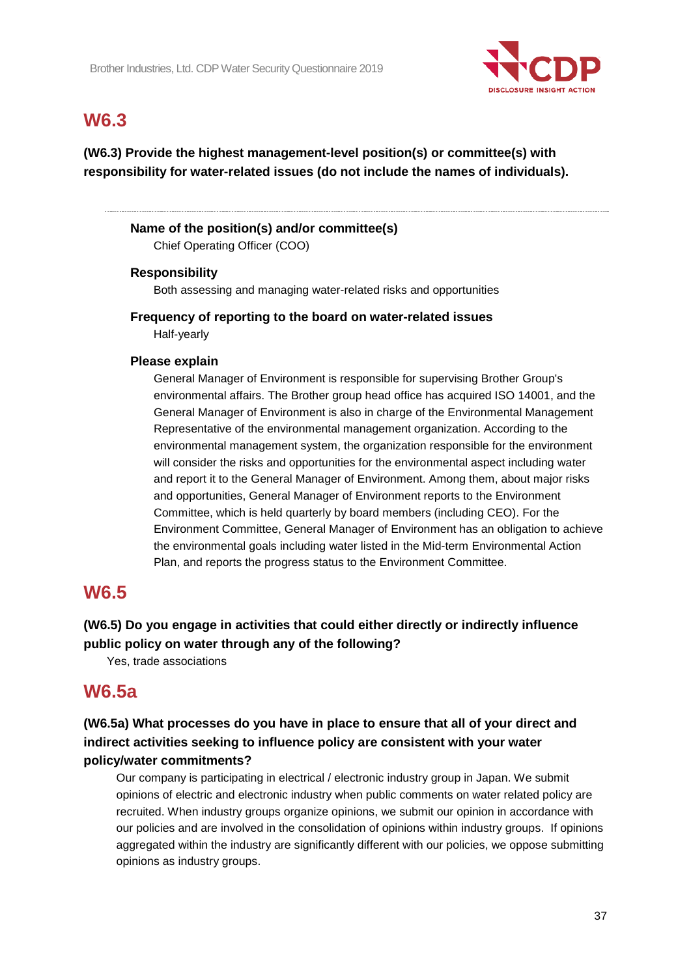

## **W6.3**

**(W6.3) Provide the highest management-level position(s) or committee(s) with responsibility for water-related issues (do not include the names of individuals).**

#### **Name of the position(s) and/or committee(s)**

Chief Operating Officer (COO)

#### **Responsibility**

Both assessing and managing water-related risks and opportunities

#### **Frequency of reporting to the board on water-related issues** Half-yearly

#### **Please explain**

General Manager of Environment is responsible for supervising Brother Group's environmental affairs. The Brother group head office has acquired ISO 14001, and the General Manager of Environment is also in charge of the Environmental Management Representative of the environmental management organization. According to the environmental management system, the organization responsible for the environment will consider the risks and opportunities for the environmental aspect including water and report it to the General Manager of Environment. Among them, about major risks and opportunities, General Manager of Environment reports to the Environment Committee, which is held quarterly by board members (including CEO). For the Environment Committee, General Manager of Environment has an obligation to achieve the environmental goals including water listed in the Mid-term Environmental Action Plan, and reports the progress status to the Environment Committee.

### **W6.5**

### **(W6.5) Do you engage in activities that could either directly or indirectly influence public policy on water through any of the following?**

Yes, trade associations

## **W6.5a**

### **(W6.5a) What processes do you have in place to ensure that all of your direct and indirect activities seeking to influence policy are consistent with your water policy/water commitments?**

Our company is participating in electrical / electronic industry group in Japan. We submit opinions of electric and electronic industry when public comments on water related policy are recruited. When industry groups organize opinions, we submit our opinion in accordance with our policies and are involved in the consolidation of opinions within industry groups. If opinions aggregated within the industry are significantly different with our policies, we oppose submitting opinions as industry groups.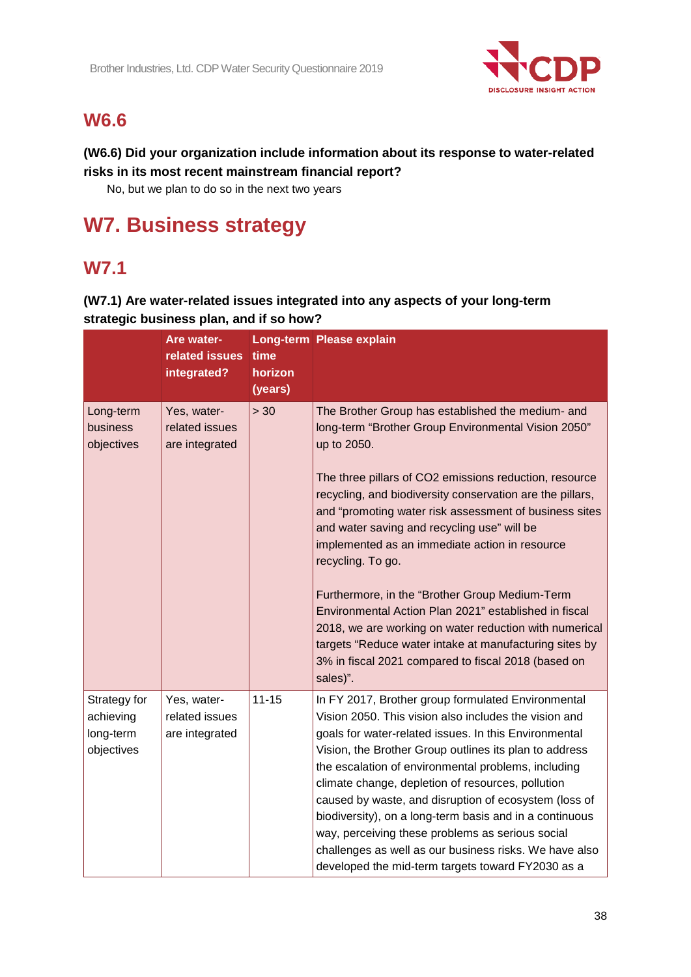

## **W6.6**

### **(W6.6) Did your organization include information about its response to water-related risks in its most recent mainstream financial report?**

No, but we plan to do so in the next two years

# **W7. Business strategy**

## **W7.1**

### **(W7.1) Are water-related issues integrated into any aspects of your long-term strategic business plan, and if so how?**

|                                                      | Are water-<br>related issues<br>integrated?     | time<br>horizon<br>(years) | Long-term Please explain                                                                                                                                                                                                                                                                                                                                                                                                                                                                                                                                                                                                                                                                                                         |
|------------------------------------------------------|-------------------------------------------------|----------------------------|----------------------------------------------------------------------------------------------------------------------------------------------------------------------------------------------------------------------------------------------------------------------------------------------------------------------------------------------------------------------------------------------------------------------------------------------------------------------------------------------------------------------------------------------------------------------------------------------------------------------------------------------------------------------------------------------------------------------------------|
| Long-term<br>business<br>objectives                  | Yes, water-<br>related issues<br>are integrated | > 30                       | The Brother Group has established the medium- and<br>long-term "Brother Group Environmental Vision 2050"<br>up to 2050.<br>The three pillars of CO2 emissions reduction, resource<br>recycling, and biodiversity conservation are the pillars,<br>and "promoting water risk assessment of business sites<br>and water saving and recycling use" will be<br>implemented as an immediate action in resource<br>recycling. To go.<br>Furthermore, in the "Brother Group Medium-Term<br>Environmental Action Plan 2021" established in fiscal<br>2018, we are working on water reduction with numerical<br>targets "Reduce water intake at manufacturing sites by<br>3% in fiscal 2021 compared to fiscal 2018 (based on<br>sales)". |
| Strategy for<br>achieving<br>long-term<br>objectives | Yes, water-<br>related issues<br>are integrated | $11 - 15$                  | In FY 2017, Brother group formulated Environmental<br>Vision 2050. This vision also includes the vision and<br>goals for water-related issues. In this Environmental<br>Vision, the Brother Group outlines its plan to address<br>the escalation of environmental problems, including<br>climate change, depletion of resources, pollution<br>caused by waste, and disruption of ecosystem (loss of<br>biodiversity), on a long-term basis and in a continuous<br>way, perceiving these problems as serious social<br>challenges as well as our business risks. We have also<br>developed the mid-term targets toward FY2030 as a                                                                                                |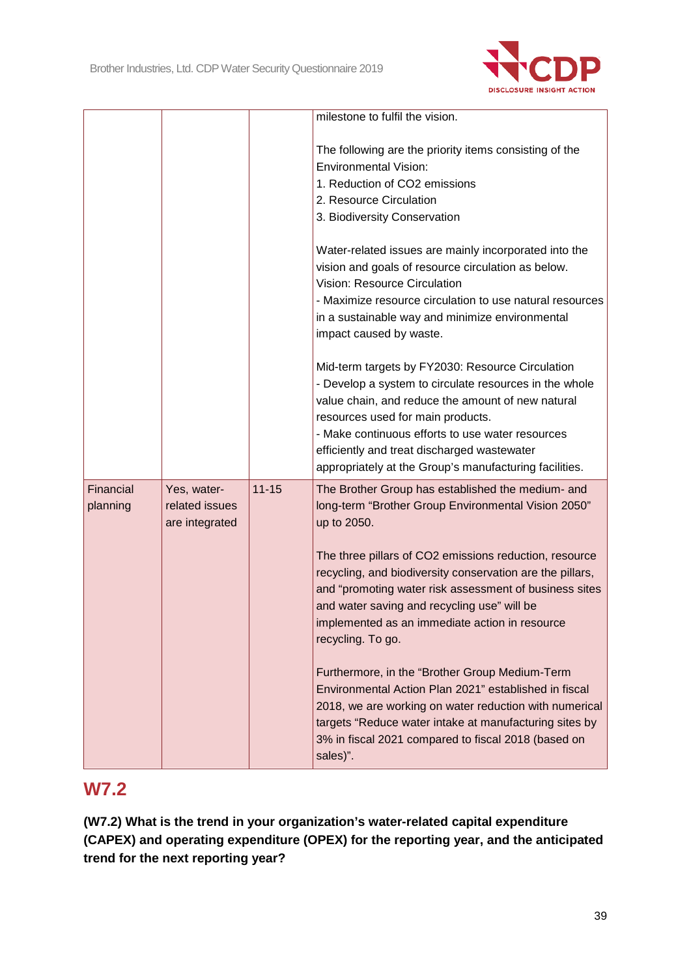

|                       |                                                 |           | milestone to fulfil the vision.                                                                                                                                                                                                                                                                                                                                                                                                |
|-----------------------|-------------------------------------------------|-----------|--------------------------------------------------------------------------------------------------------------------------------------------------------------------------------------------------------------------------------------------------------------------------------------------------------------------------------------------------------------------------------------------------------------------------------|
|                       |                                                 |           | The following are the priority items consisting of the<br><b>Environmental Vision:</b><br>1. Reduction of CO2 emissions<br>2. Resource Circulation<br>3. Biodiversity Conservation                                                                                                                                                                                                                                             |
|                       |                                                 |           | Water-related issues are mainly incorporated into the<br>vision and goals of resource circulation as below.<br><b>Vision: Resource Circulation</b><br>- Maximize resource circulation to use natural resources<br>in a sustainable way and minimize environmental<br>impact caused by waste.                                                                                                                                   |
|                       |                                                 |           | Mid-term targets by FY2030: Resource Circulation<br>- Develop a system to circulate resources in the whole<br>value chain, and reduce the amount of new natural<br>resources used for main products.<br>- Make continuous efforts to use water resources<br>efficiently and treat discharged wastewater<br>appropriately at the Group's manufacturing facilities.                                                              |
| Financial<br>planning | Yes, water-<br>related issues<br>are integrated | $11 - 15$ | The Brother Group has established the medium- and<br>long-term "Brother Group Environmental Vision 2050"<br>up to 2050.<br>The three pillars of CO2 emissions reduction, resource<br>recycling, and biodiversity conservation are the pillars,<br>and "promoting water risk assessment of business sites<br>and water saving and recycling use" will be<br>implemented as an immediate action in resource<br>recycling. To go. |
|                       |                                                 |           | Furthermore, in the "Brother Group Medium-Term<br>Environmental Action Plan 2021" established in fiscal<br>2018, we are working on water reduction with numerical<br>targets "Reduce water intake at manufacturing sites by<br>3% in fiscal 2021 compared to fiscal 2018 (based on<br>sales)".                                                                                                                                 |

## **W7.2**

**(W7.2) What is the trend in your organization's water-related capital expenditure (CAPEX) and operating expenditure (OPEX) for the reporting year, and the anticipated trend for the next reporting year?**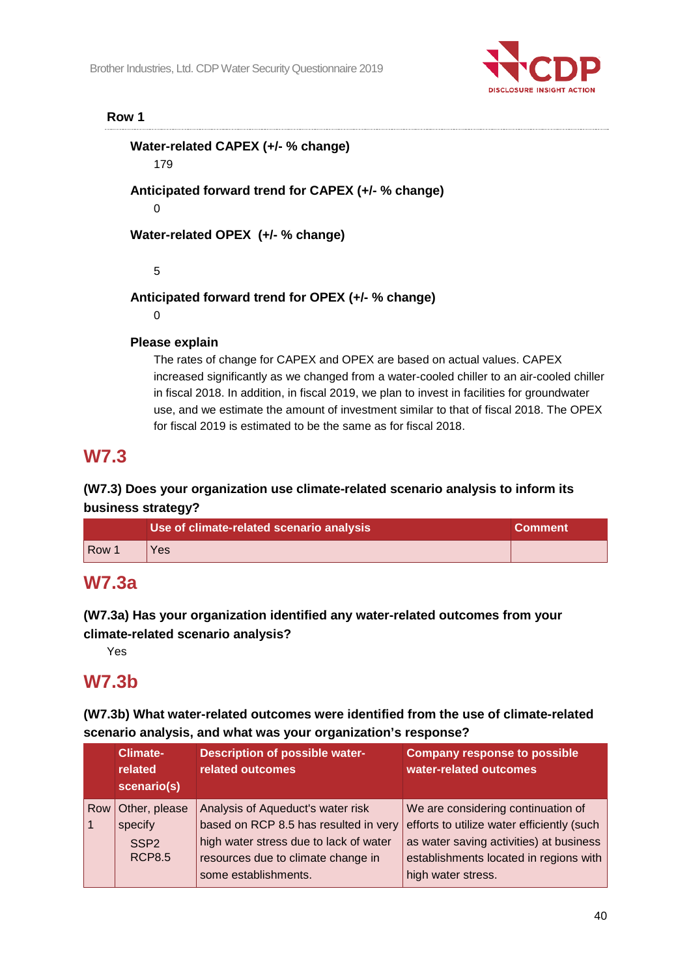

#### **Row 1**

**Water-related CAPEX (+/- % change)** 179 **Anticipated forward trend for CAPEX (+/- % change)** 0 **Water-related OPEX (+/- % change)** 5 **Anticipated forward trend for OPEX (+/- % change)**

0

#### **Please explain**

The rates of change for CAPEX and OPEX are based on actual values. CAPEX increased significantly as we changed from a water-cooled chiller to an air-cooled chiller in fiscal 2018. In addition, in fiscal 2019, we plan to invest in facilities for groundwater use, and we estimate the amount of investment similar to that of fiscal 2018. The OPEX for fiscal 2019 is estimated to be the same as for fiscal 2018.

## **W7.3**

### **(W7.3) Does your organization use climate-related scenario analysis to inform its business strategy?**

|                  | Use of climate-related scenario analysis | <b>Comment</b> |
|------------------|------------------------------------------|----------------|
| Row <sup>1</sup> | Yes                                      |                |

### **W7.3a**

**(W7.3a) Has your organization identified any water-related outcomes from your climate-related scenario analysis?**

Yes

## **W7.3b**

#### **(W7.3b) What water-related outcomes were identified from the use of climate-related scenario analysis, and what was your organization's response?**

|     | <b>Climate-</b><br>related<br>scenario(s) | <b>Description of possible water-</b><br>related outcomes | <b>Company response to possible</b><br>water-related outcomes |
|-----|-------------------------------------------|-----------------------------------------------------------|---------------------------------------------------------------|
| Row | Other, please                             | Analysis of Aqueduct's water risk                         | We are considering continuation of                            |
|     | specify                                   | based on RCP 8.5 has resulted in very                     | efforts to utilize water efficiently (such                    |
|     | SSP <sub>2</sub>                          | high water stress due to lack of water                    | as water saving activities) at business                       |
|     | <b>RCP8.5</b>                             | resources due to climate change in                        | establishments located in regions with                        |
|     |                                           | some establishments.                                      | high water stress.                                            |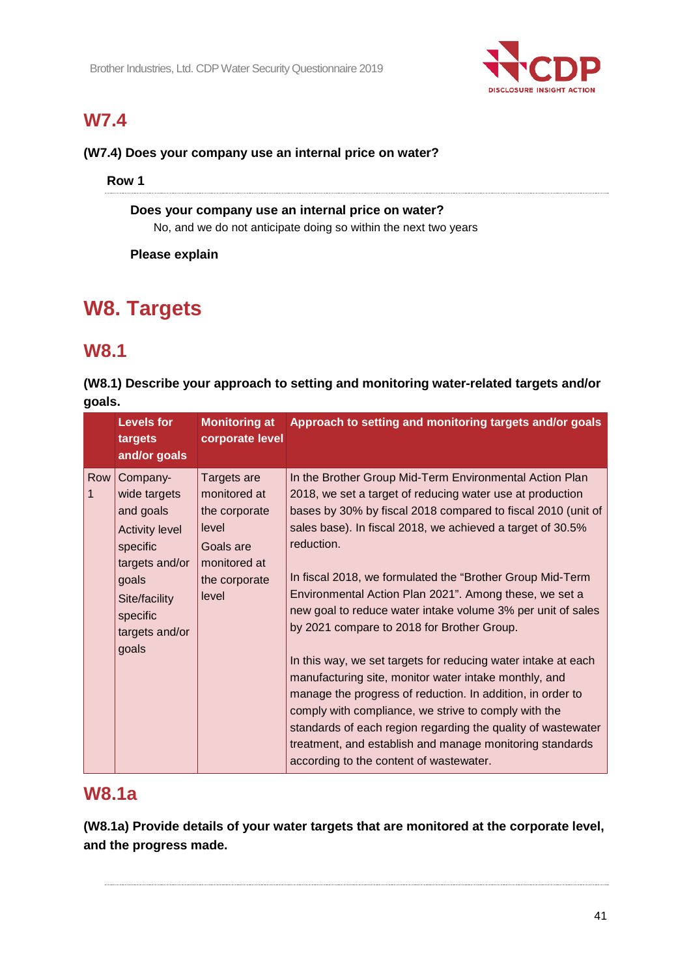

# **W7.4**

#### **(W7.4) Does your company use an internal price on water?**

**Row 1**

#### **Does your company use an internal price on water?** No, and we do not anticipate doing so within the next two years

**Please explain**

# **W8. Targets**

## **W8.1**

**(W8.1) Describe your approach to setting and monitoring water-related targets and/or goals.**

|                     | <b>Levels for</b><br>targets<br>and/or goals                                                                                                                  | <b>Monitoring at</b><br>corporate level                                                                      | Approach to setting and monitoring targets and/or goals                                                                                                                                                                                                                                                                                                                                                                                                                                                                                                                                                                                                                                                                                                                                                                                                                                                                      |
|---------------------|---------------------------------------------------------------------------------------------------------------------------------------------------------------|--------------------------------------------------------------------------------------------------------------|------------------------------------------------------------------------------------------------------------------------------------------------------------------------------------------------------------------------------------------------------------------------------------------------------------------------------------------------------------------------------------------------------------------------------------------------------------------------------------------------------------------------------------------------------------------------------------------------------------------------------------------------------------------------------------------------------------------------------------------------------------------------------------------------------------------------------------------------------------------------------------------------------------------------------|
| Row<br>$\mathbf{1}$ | Company-<br>wide targets<br>and goals<br><b>Activity level</b><br>specific<br>targets and/or<br>goals<br>Site/facility<br>specific<br>targets and/or<br>goals | Targets are<br>monitored at<br>the corporate<br>level<br>Goals are<br>monitored at<br>the corporate<br>level | In the Brother Group Mid-Term Environmental Action Plan<br>2018, we set a target of reducing water use at production<br>bases by 30% by fiscal 2018 compared to fiscal 2010 (unit of<br>sales base). In fiscal 2018, we achieved a target of 30.5%<br>reduction.<br>In fiscal 2018, we formulated the "Brother Group Mid-Term"<br>Environmental Action Plan 2021". Among these, we set a<br>new goal to reduce water intake volume 3% per unit of sales<br>by 2021 compare to 2018 for Brother Group.<br>In this way, we set targets for reducing water intake at each<br>manufacturing site, monitor water intake monthly, and<br>manage the progress of reduction. In addition, in order to<br>comply with compliance, we strive to comply with the<br>standards of each region regarding the quality of wastewater<br>treatment, and establish and manage monitoring standards<br>according to the content of wastewater. |

## **W8.1a**

**(W8.1a) Provide details of your water targets that are monitored at the corporate level, and the progress made.**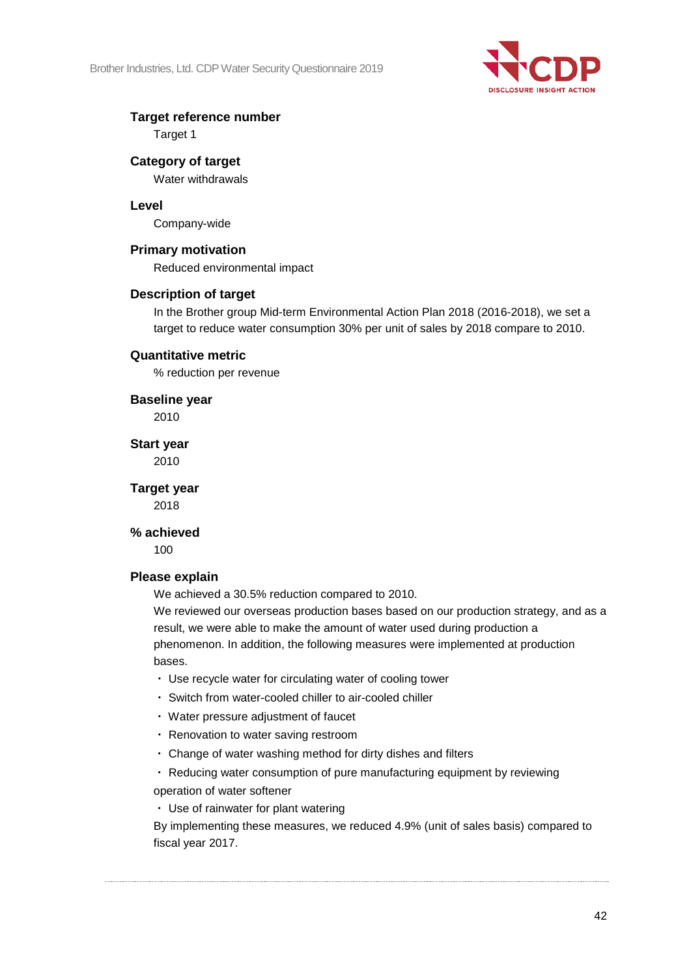

#### **Target reference number**

Target 1

#### **Category of target**

Water withdrawals

#### **Level**

Company-wide

#### **Primary motivation**

Reduced environmental impact

#### **Description of target**

In the Brother group Mid-term Environmental Action Plan 2018 (2016-2018), we set a target to reduce water consumption 30% per unit of sales by 2018 compare to 2010.

#### **Quantitative metric**

% reduction per revenue

**Baseline year** 2010

**Start year**

2010

**Target year**

2018

#### **% achieved**

100

#### **Please explain**

We achieved a 30.5% reduction compared to 2010.

We reviewed our overseas production bases based on our production strategy, and as a result, we were able to make the amount of water used during production a phenomenon. In addition, the following measures were implemented at production bases.

- ・ Use recycle water for circulating water of cooling tower
- ・ Switch from water-cooled chiller to air-cooled chiller
- ・ Water pressure adjustment of faucet
- ・ Renovation to water saving restroom
- ・ Change of water washing method for dirty dishes and filters

・ Reducing water consumption of pure manufacturing equipment by reviewing

operation of water softener

・ Use of rainwater for plant watering

By implementing these measures, we reduced 4.9% (unit of sales basis) compared to fiscal year 2017.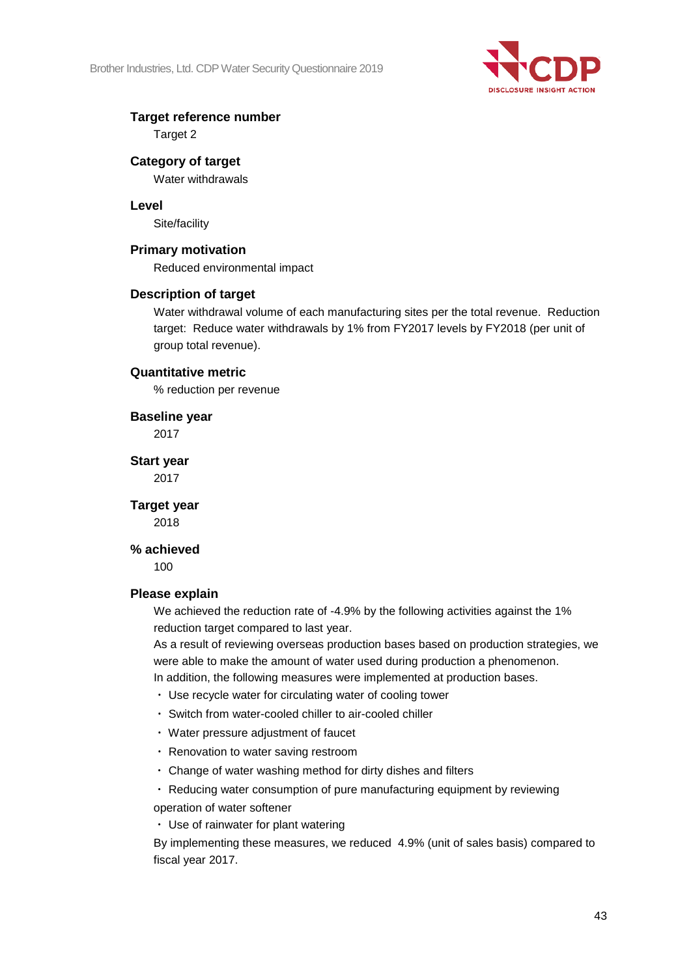

#### **Target reference number**

Target 2

### **Category of target**

Water withdrawals

#### **Level**

Site/facility

#### **Primary motivation**

Reduced environmental impact

#### **Description of target**

Water withdrawal volume of each manufacturing sites per the total revenue. Reduction target: Reduce water withdrawals by 1% from FY2017 levels by FY2018 (per unit of group total revenue).

#### **Quantitative metric**

% reduction per revenue

**Baseline year** 2017

**Start year** 2017

**Target year** 2018

#### **% achieved**

100

#### **Please explain**

We achieved the reduction rate of -4.9% by the following activities against the 1% reduction target compared to last year.

As a result of reviewing overseas production bases based on production strategies, we were able to make the amount of water used during production a phenomenon.

In addition, the following measures were implemented at production bases.

- ・ Use recycle water for circulating water of cooling tower
- ・ Switch from water-cooled chiller to air-cooled chiller
- ・ Water pressure adjustment of faucet
- ・ Renovation to water saving restroom
- ・ Change of water washing method for dirty dishes and filters

・ Reducing water consumption of pure manufacturing equipment by reviewing operation of water softener

・ Use of rainwater for plant watering

By implementing these measures, we reduced 4.9% (unit of sales basis) compared to fiscal year 2017.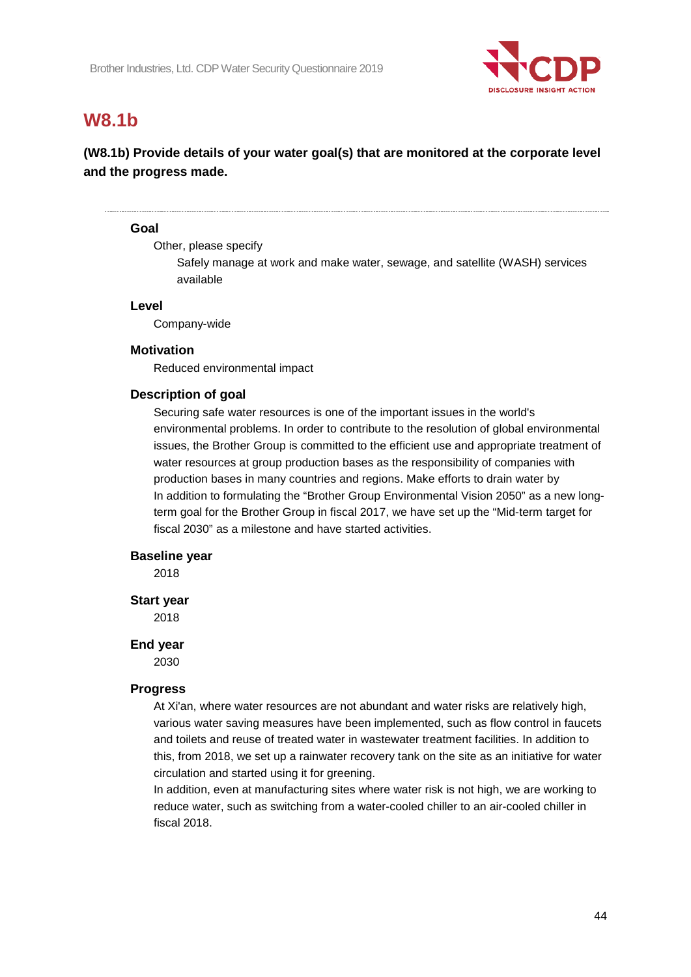

## **W8.1b**

### **(W8.1b) Provide details of your water goal(s) that are monitored at the corporate level and the progress made.**

#### **Goal**

Other, please specify

Safely manage at work and make water, sewage, and satellite (WASH) services available

#### **Level**

Company-wide

#### **Motivation**

Reduced environmental impact

#### **Description of goal**

Securing safe water resources is one of the important issues in the world's environmental problems. In order to contribute to the resolution of global environmental issues, the Brother Group is committed to the efficient use and appropriate treatment of water resources at group production bases as the responsibility of companies with production bases in many countries and regions. Make efforts to drain water by In addition to formulating the "Brother Group Environmental Vision 2050" as a new longterm goal for the Brother Group in fiscal 2017, we have set up the "Mid-term target for fiscal 2030" as a milestone and have started activities.

#### **Baseline year**

2018

#### **Start year**

2018

#### **End year**

2030

#### **Progress**

At Xi'an, where water resources are not abundant and water risks are relatively high, various water saving measures have been implemented, such as flow control in faucets and toilets and reuse of treated water in wastewater treatment facilities. In addition to this, from 2018, we set up a rainwater recovery tank on the site as an initiative for water circulation and started using it for greening.

In addition, even at manufacturing sites where water risk is not high, we are working to reduce water, such as switching from a water-cooled chiller to an air-cooled chiller in fiscal 2018.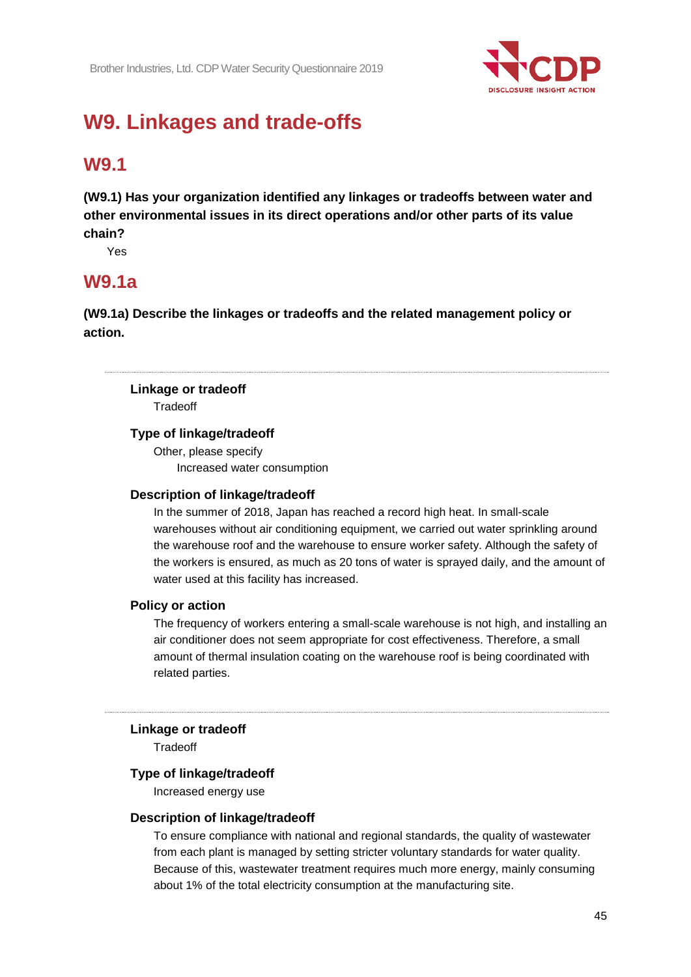

# **W9. Linkages and trade-offs**

## **W9.1**

**(W9.1) Has your organization identified any linkages or tradeoffs between water and other environmental issues in its direct operations and/or other parts of its value chain?**

Yes

### **W9.1a**

**(W9.1a) Describe the linkages or tradeoffs and the related management policy or action.**

### **Linkage or tradeoff**

**Tradeoff** 

#### **Type of linkage/tradeoff**

Other, please specify Increased water consumption

#### **Description of linkage/tradeoff**

In the summer of 2018, Japan has reached a record high heat. In small-scale warehouses without air conditioning equipment, we carried out water sprinkling around the warehouse roof and the warehouse to ensure worker safety. Although the safety of the workers is ensured, as much as 20 tons of water is sprayed daily, and the amount of water used at this facility has increased.

#### **Policy or action**

The frequency of workers entering a small-scale warehouse is not high, and installing an air conditioner does not seem appropriate for cost effectiveness. Therefore, a small amount of thermal insulation coating on the warehouse roof is being coordinated with related parties.

#### **Linkage or tradeoff**

Tradeoff

#### **Type of linkage/tradeoff**

Increased energy use

#### **Description of linkage/tradeoff**

To ensure compliance with national and regional standards, the quality of wastewater from each plant is managed by setting stricter voluntary standards for water quality. Because of this, wastewater treatment requires much more energy, mainly consuming about 1% of the total electricity consumption at the manufacturing site.